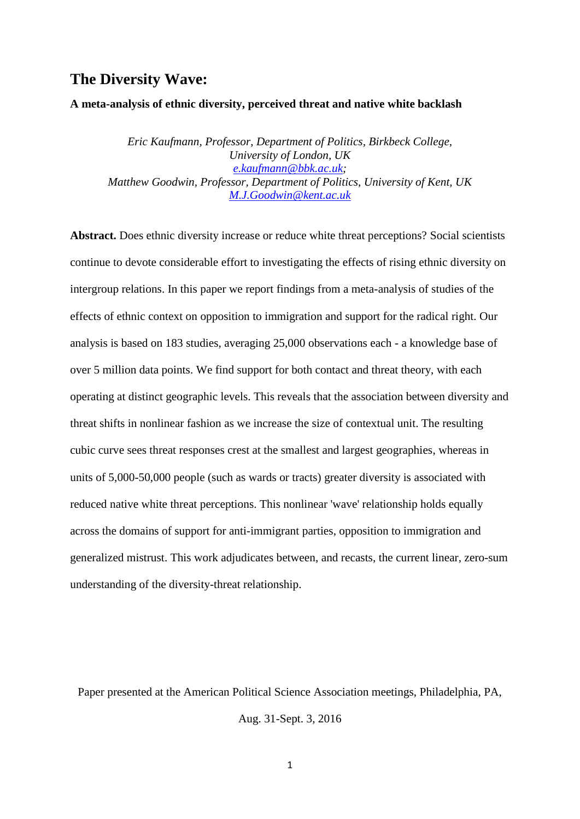# **The Diversity Wave:**

### **A meta-analysis of ethnic diversity, perceived threat and native white backlash**

*Eric Kaufmann, Professor, Department of Politics, Birkbeck College, University of London, UK [e.kaufmann@bbk.ac.uk;](mailto:e.kaufmann@bbk.ac.uk) Matthew Goodwin, Professor, Department of Politics, University of Kent, UK <M.J.Goodwin@kent.ac.uk>*

**Abstract.** Does ethnic diversity increase or reduce white threat perceptions? Social scientists continue to devote considerable effort to investigating the effects of rising ethnic diversity on intergroup relations. In this paper we report findings from a meta-analysis of studies of the effects of ethnic context on opposition to immigration and support for the radical right. Our analysis is based on 183 studies, averaging 25,000 observations each - a knowledge base of over 5 million data points. We find support for both contact and threat theory, with each operating at distinct geographic levels. This reveals that the association between diversity and threat shifts in nonlinear fashion as we increase the size of contextual unit. The resulting cubic curve sees threat responses crest at the smallest and largest geographies, whereas in units of 5,000-50,000 people (such as wards or tracts) greater diversity is associated with reduced native white threat perceptions. This nonlinear 'wave' relationship holds equally across the domains of support for anti-immigrant parties, opposition to immigration and generalized mistrust. This work adjudicates between, and recasts, the current linear, zero-sum understanding of the diversity-threat relationship.

Paper presented at the American Political Science Association meetings, Philadelphia, PA, Aug. 31-Sept. 3, 2016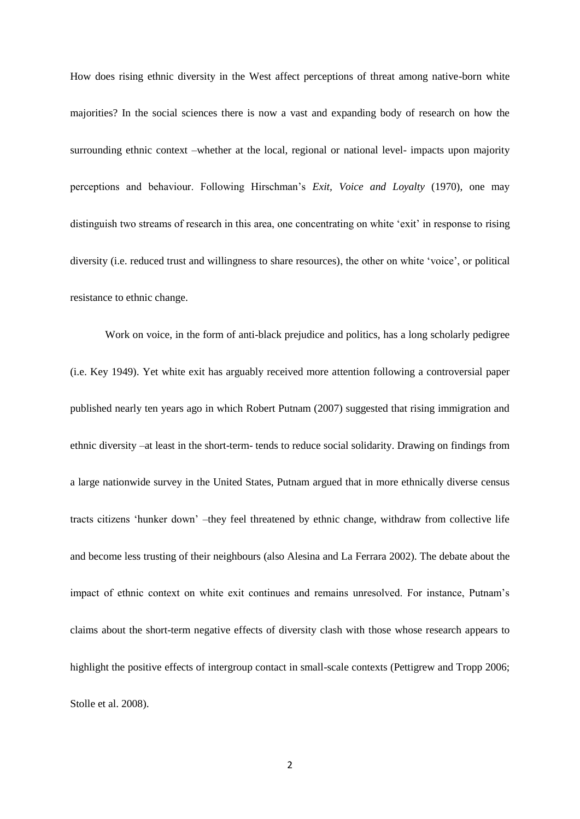How does rising ethnic diversity in the West affect perceptions of threat among native-born white majorities? In the social sciences there is now a vast and expanding body of research on how the surrounding ethnic context –whether at the local, regional or national level- impacts upon majority perceptions and behaviour. Following Hirschman's *Exit, Voice and Loyalty* (1970), one may distinguish two streams of research in this area, one concentrating on white 'exit' in response to rising diversity (i.e. reduced trust and willingness to share resources), the other on white 'voice', or political resistance to ethnic change.

Work on voice, in the form of anti-black prejudice and politics, has a long scholarly pedigree (i.e. Key 1949). Yet white exit has arguably received more attention following a controversial paper published nearly ten years ago in which Robert Putnam (2007) suggested that rising immigration and ethnic diversity –at least in the short-term- tends to reduce social solidarity. Drawing on findings from a large nationwide survey in the United States, Putnam argued that in more ethnically diverse census tracts citizens 'hunker down' –they feel threatened by ethnic change, withdraw from collective life and become less trusting of their neighbours (also Alesina and La Ferrara 2002). The debate about the impact of ethnic context on white exit continues and remains unresolved. For instance, Putnam's claims about the short-term negative effects of diversity clash with those whose research appears to highlight the positive effects of intergroup contact in small-scale contexts (Pettigrew and Tropp 2006; Stolle et al. 2008).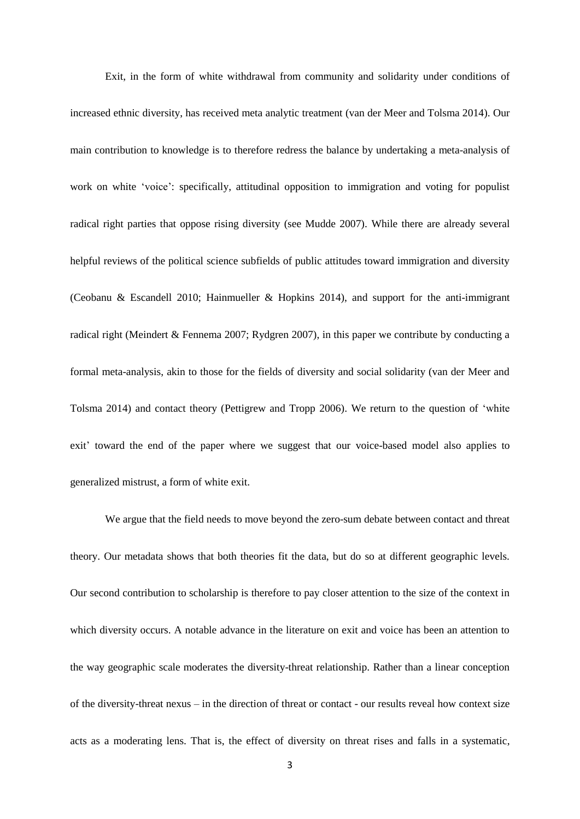Exit, in the form of white withdrawal from community and solidarity under conditions of increased ethnic diversity, has received meta analytic treatment (van der Meer and Tolsma 2014). Our main contribution to knowledge is to therefore redress the balance by undertaking a meta-analysis of work on white 'voice': specifically, attitudinal opposition to immigration and voting for populist radical right parties that oppose rising diversity (see Mudde 2007). While there are already several helpful reviews of the political science subfields of public attitudes toward immigration and diversity (Ceobanu & Escandell 2010; Hainmueller & Hopkins 2014), and support for the anti-immigrant radical right (Meindert & Fennema 2007; Rydgren 2007), in this paper we contribute by conducting a formal meta-analysis, akin to those for the fields of diversity and social solidarity (van der Meer and Tolsma 2014) and contact theory (Pettigrew and Tropp 2006). We return to the question of 'white exit' toward the end of the paper where we suggest that our voice-based model also applies to generalized mistrust, a form of white exit.

We argue that the field needs to move beyond the zero-sum debate between contact and threat theory. Our metadata shows that both theories fit the data, but do so at different geographic levels. Our second contribution to scholarship is therefore to pay closer attention to the size of the context in which diversity occurs. A notable advance in the literature on exit and voice has been an attention to the way geographic scale moderates the diversity-threat relationship. Rather than a linear conception of the diversity-threat nexus – in the direction of threat or contact - our results reveal how context size acts as a moderating lens. That is, the effect of diversity on threat rises and falls in a systematic,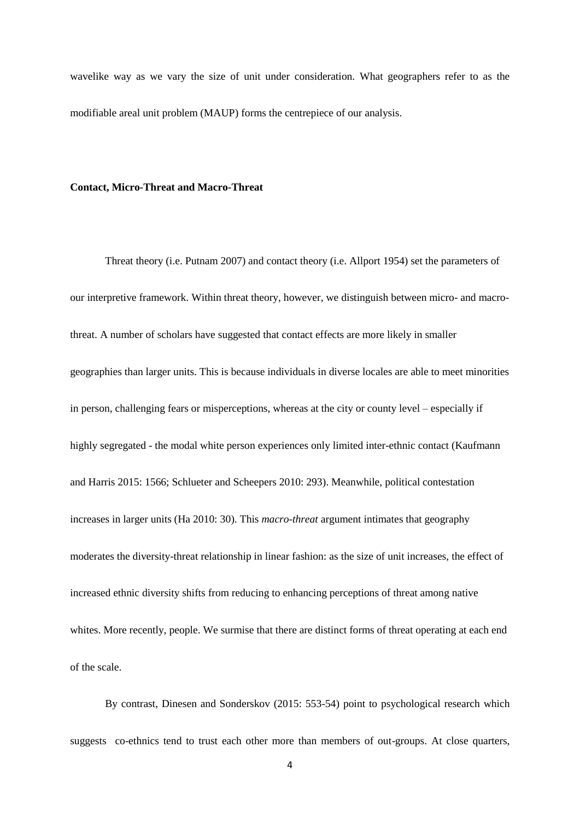wavelike way as we vary the size of unit under consideration. What geographers refer to as the modifiable areal unit problem (MAUP) forms the centrepiece of our analysis.

### **Contact, Micro-Threat and Macro-Threat**

Threat theory (i.e. Putnam 2007) and contact theory (i.e. Allport 1954) set the parameters of our interpretive framework. Within threat theory, however, we distinguish between micro- and macrothreat. A number of scholars have suggested that contact effects are more likely in smaller geographies than larger units. This is because individuals in diverse locales are able to meet minorities in person, challenging fears or misperceptions, whereas at the city or county level – especially if highly segregated - the modal white person experiences only limited inter-ethnic contact (Kaufmann and Harris 2015: 1566; Schlueter and Scheepers 2010: 293). Meanwhile, political contestation increases in larger units (Ha 2010: 30). This *macro-threat* argument intimates that geography moderates the diversity-threat relationship in linear fashion: as the size of unit increases, the effect of increased ethnic diversity shifts from reducing to enhancing perceptions of threat among native whites. More recently, people. We surmise that there are distinct forms of threat operating at each end of the scale.

By contrast, Dinesen and Sonderskov (2015: 553-54) point to psychological research which suggests co-ethnics tend to trust each other more than members of out-groups. At close quarters,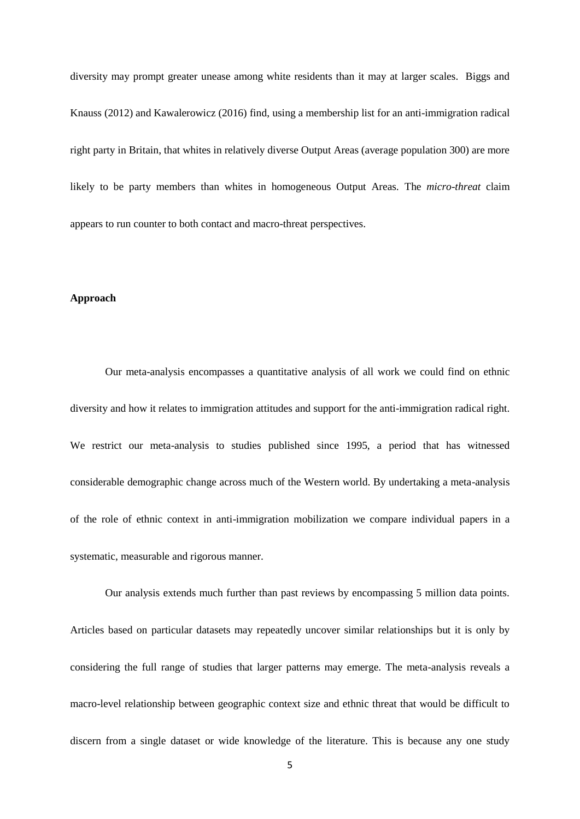diversity may prompt greater unease among white residents than it may at larger scales. Biggs and Knauss (2012) and Kawalerowicz (2016) find, using a membership list for an anti-immigration radical right party in Britain, that whites in relatively diverse Output Areas (average population 300) are more likely to be party members than whites in homogeneous Output Areas. The *micro-threat* claim appears to run counter to both contact and macro-threat perspectives.

### **Approach**

Our meta-analysis encompasses a quantitative analysis of all work we could find on ethnic diversity and how it relates to immigration attitudes and support for the anti-immigration radical right. We restrict our meta-analysis to studies published since 1995, a period that has witnessed considerable demographic change across much of the Western world. By undertaking a meta-analysis of the role of ethnic context in anti-immigration mobilization we compare individual papers in a systematic, measurable and rigorous manner.

Our analysis extends much further than past reviews by encompassing 5 million data points. Articles based on particular datasets may repeatedly uncover similar relationships but it is only by considering the full range of studies that larger patterns may emerge. The meta-analysis reveals a macro-level relationship between geographic context size and ethnic threat that would be difficult to discern from a single dataset or wide knowledge of the literature. This is because any one study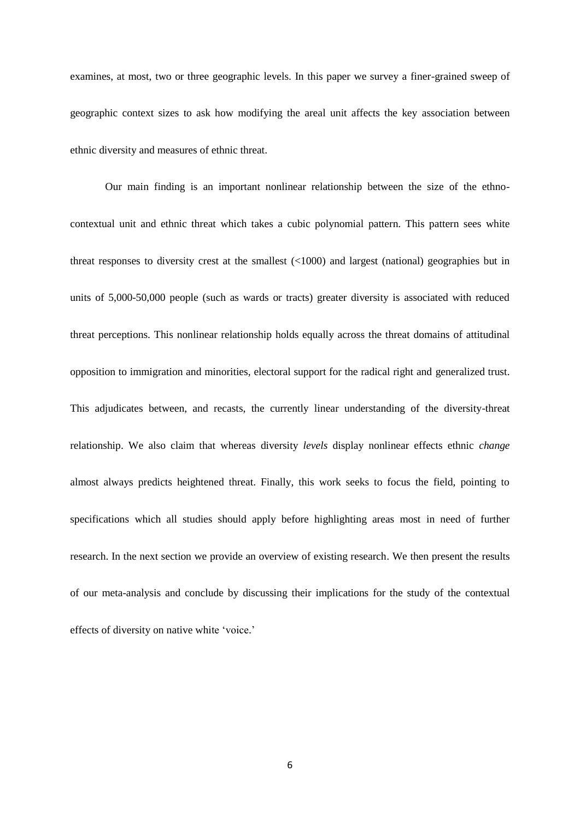examines, at most, two or three geographic levels. In this paper we survey a finer-grained sweep of geographic context sizes to ask how modifying the areal unit affects the key association between ethnic diversity and measures of ethnic threat.

Our main finding is an important nonlinear relationship between the size of the ethnocontextual unit and ethnic threat which takes a cubic polynomial pattern. This pattern sees white threat responses to diversity crest at the smallest (<1000) and largest (national) geographies but in units of 5,000-50,000 people (such as wards or tracts) greater diversity is associated with reduced threat perceptions. This nonlinear relationship holds equally across the threat domains of attitudinal opposition to immigration and minorities, electoral support for the radical right and generalized trust. This adjudicates between, and recasts, the currently linear understanding of the diversity-threat relationship. We also claim that whereas diversity *levels* display nonlinear effects ethnic *change* almost always predicts heightened threat. Finally, this work seeks to focus the field, pointing to specifications which all studies should apply before highlighting areas most in need of further research. In the next section we provide an overview of existing research. We then present the results of our meta-analysis and conclude by discussing their implications for the study of the contextual effects of diversity on native white 'voice.'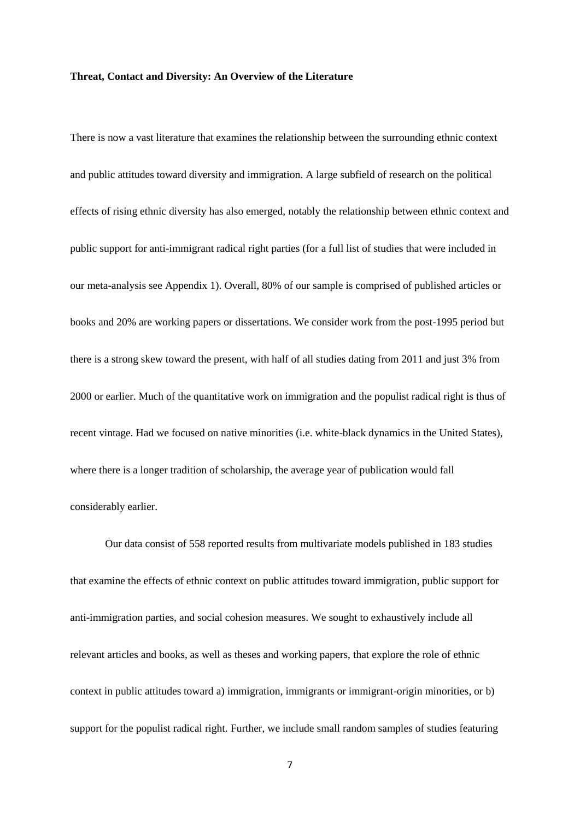### **Threat, Contact and Diversity: An Overview of the Literature**

There is now a vast literature that examines the relationship between the surrounding ethnic context and public attitudes toward diversity and immigration. A large subfield of research on the political effects of rising ethnic diversity has also emerged, notably the relationship between ethnic context and public support for anti-immigrant radical right parties (for a full list of studies that were included in our meta-analysis see Appendix 1). Overall, 80% of our sample is comprised of published articles or books and 20% are working papers or dissertations. We consider work from the post-1995 period but there is a strong skew toward the present, with half of all studies dating from 2011 and just 3% from 2000 or earlier. Much of the quantitative work on immigration and the populist radical right is thus of recent vintage. Had we focused on native minorities (i.e. white-black dynamics in the United States), where there is a longer tradition of scholarship, the average year of publication would fall considerably earlier.

Our data consist of 558 reported results from multivariate models published in 183 studies that examine the effects of ethnic context on public attitudes toward immigration, public support for anti-immigration parties, and social cohesion measures. We sought to exhaustively include all relevant articles and books, as well as theses and working papers, that explore the role of ethnic context in public attitudes toward a) immigration, immigrants or immigrant-origin minorities, or b) support for the populist radical right. Further, we include small random samples of studies featuring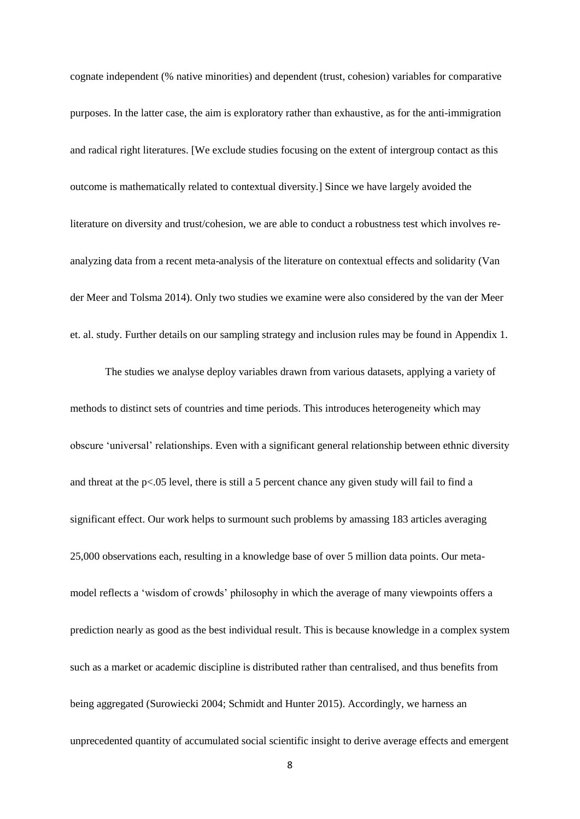cognate independent (% native minorities) and dependent (trust, cohesion) variables for comparative purposes. In the latter case, the aim is exploratory rather than exhaustive, as for the anti-immigration and radical right literatures. [We exclude studies focusing on the extent of intergroup contact as this outcome is mathematically related to contextual diversity.] Since we have largely avoided the literature on diversity and trust/cohesion, we are able to conduct a robustness test which involves reanalyzing data from a recent meta-analysis of the literature on contextual effects and solidarity (Van der Meer and Tolsma 2014). Only two studies we examine were also considered by the van der Meer et. al. study. Further details on our sampling strategy and inclusion rules may be found in Appendix 1.

The studies we analyse deploy variables drawn from various datasets, applying a variety of methods to distinct sets of countries and time periods. This introduces heterogeneity which may obscure 'universal' relationships. Even with a significant general relationship between ethnic diversity and threat at the  $p<.05$  level, there is still a 5 percent chance any given study will fail to find a significant effect. Our work helps to surmount such problems by amassing 183 articles averaging 25,000 observations each, resulting in a knowledge base of over 5 million data points. Our metamodel reflects a 'wisdom of crowds' philosophy in which the average of many viewpoints offers a prediction nearly as good as the best individual result. This is because knowledge in a complex system such as a market or academic discipline is distributed rather than centralised, and thus benefits from being aggregated (Surowiecki 2004; Schmidt and Hunter 2015). Accordingly, we harness an unprecedented quantity of accumulated social scientific insight to derive average effects and emergent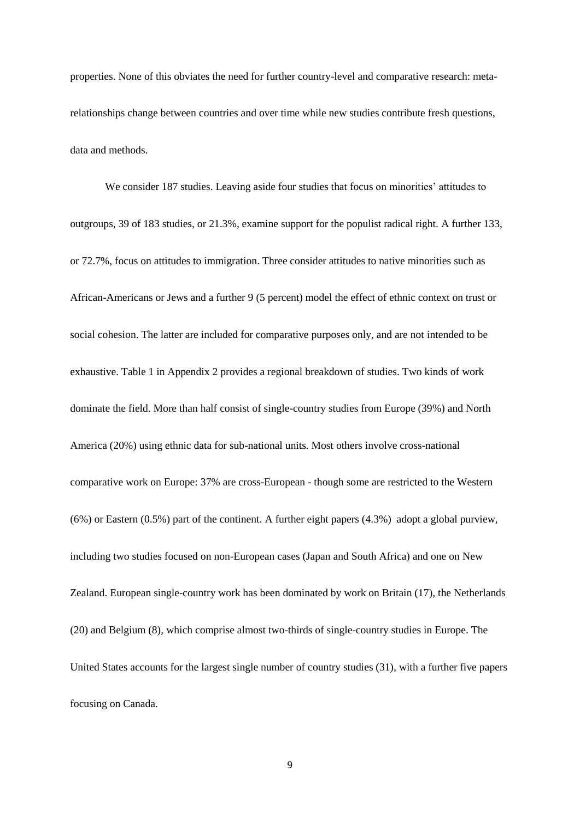properties. None of this obviates the need for further country-level and comparative research: metarelationships change between countries and over time while new studies contribute fresh questions, data and methods.

We consider 187 studies. Leaving aside four studies that focus on minorities' attitudes to outgroups, 39 of 183 studies, or 21.3%, examine support for the populist radical right. A further 133, or 72.7%, focus on attitudes to immigration. Three consider attitudes to native minorities such as African-Americans or Jews and a further 9 (5 percent) model the effect of ethnic context on trust or social cohesion. The latter are included for comparative purposes only, and are not intended to be exhaustive. Table 1 in Appendix 2 provides a regional breakdown of studies. Two kinds of work dominate the field. More than half consist of single-country studies from Europe (39%) and North America (20%) using ethnic data for sub-national units. Most others involve cross-national comparative work on Europe: 37% are cross-European - though some are restricted to the Western (6%) or Eastern (0.5%) part of the continent. A further eight papers (4.3%) adopt a global purview, including two studies focused on non-European cases (Japan and South Africa) and one on New Zealand. European single-country work has been dominated by work on Britain (17), the Netherlands (20) and Belgium (8), which comprise almost two-thirds of single-country studies in Europe. The United States accounts for the largest single number of country studies (31), with a further five papers focusing on Canada.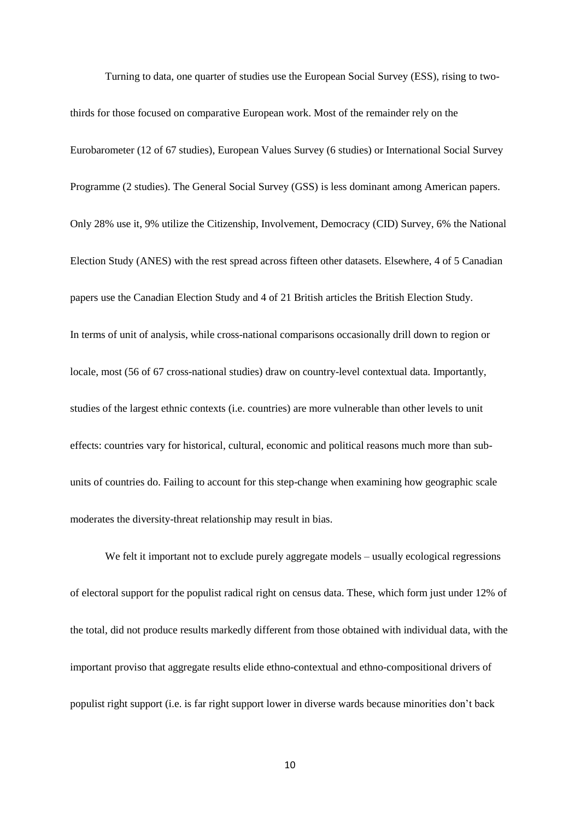Turning to data, one quarter of studies use the European Social Survey (ESS), rising to two-

thirds for those focused on comparative European work. Most of the remainder rely on the Eurobarometer (12 of 67 studies), European Values Survey (6 studies) or International Social Survey Programme (2 studies). The General Social Survey (GSS) is less dominant among American papers. Only 28% use it, 9% utilize the Citizenship, Involvement, Democracy (CID) Survey, 6% the National Election Study (ANES) with the rest spread across fifteen other datasets. Elsewhere, 4 of 5 Canadian papers use the Canadian Election Study and 4 of 21 British articles the British Election Study. In terms of unit of analysis, while cross-national comparisons occasionally drill down to region or locale, most (56 of 67 cross-national studies) draw on country-level contextual data. Importantly, studies of the largest ethnic contexts (i.e. countries) are more vulnerable than other levels to unit effects: countries vary for historical, cultural, economic and political reasons much more than subunits of countries do. Failing to account for this step-change when examining how geographic scale moderates the diversity-threat relationship may result in bias.

We felt it important not to exclude purely aggregate models – usually ecological regressions of electoral support for the populist radical right on census data. These, which form just under 12% of the total, did not produce results markedly different from those obtained with individual data, with the important proviso that aggregate results elide ethno-contextual and ethno-compositional drivers of populist right support (i.e. is far right support lower in diverse wards because minorities don't back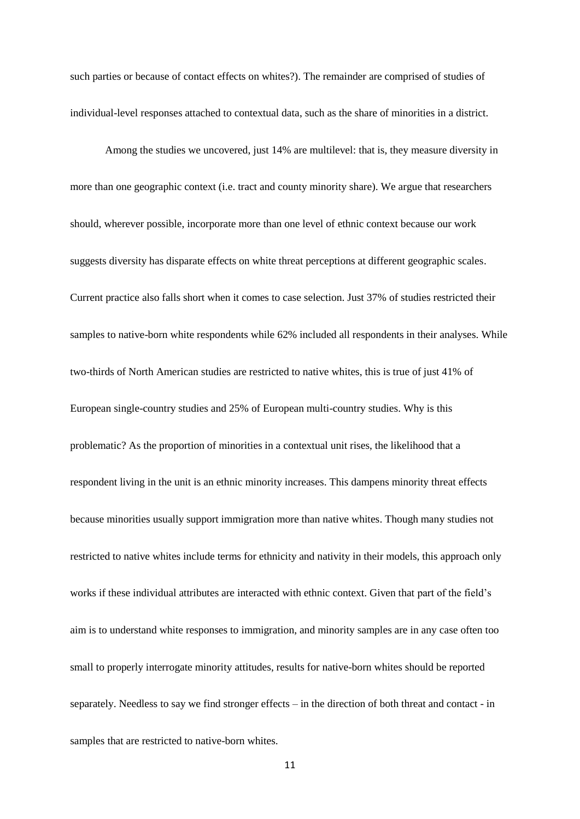such parties or because of contact effects on whites?). The remainder are comprised of studies of individual-level responses attached to contextual data, such as the share of minorities in a district.

Among the studies we uncovered, just 14% are multilevel: that is, they measure diversity in more than one geographic context (i.e. tract and county minority share). We argue that researchers should, wherever possible, incorporate more than one level of ethnic context because our work suggests diversity has disparate effects on white threat perceptions at different geographic scales. Current practice also falls short when it comes to case selection. Just 37% of studies restricted their samples to native-born white respondents while 62% included all respondents in their analyses. While two-thirds of North American studies are restricted to native whites, this is true of just 41% of European single-country studies and 25% of European multi-country studies. Why is this problematic? As the proportion of minorities in a contextual unit rises, the likelihood that a respondent living in the unit is an ethnic minority increases. This dampens minority threat effects because minorities usually support immigration more than native whites. Though many studies not restricted to native whites include terms for ethnicity and nativity in their models, this approach only works if these individual attributes are interacted with ethnic context. Given that part of the field's aim is to understand white responses to immigration, and minority samples are in any case often too small to properly interrogate minority attitudes, results for native-born whites should be reported separately. Needless to say we find stronger effects – in the direction of both threat and contact - in samples that are restricted to native-born whites.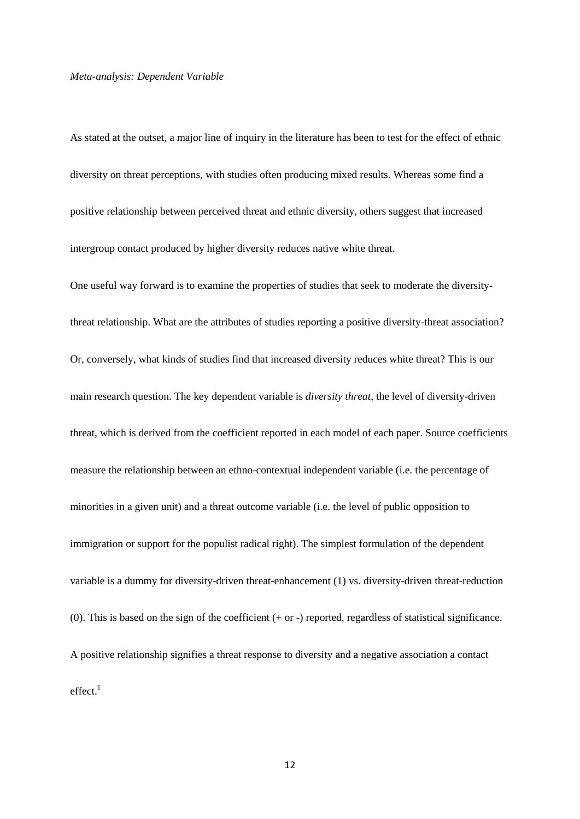### *Meta-analysis: Dependent Variable*

As stated at the outset, a major line of inquiry in the literature has been to test for the effect of ethnic diversity on threat perceptions, with studies often producing mixed results. Whereas some find a positive relationship between perceived threat and ethnic diversity, others suggest that increased intergroup contact produced by higher diversity reduces native white threat.

One useful way forward is to examine the properties of studies that seek to moderate the diversitythreat relationship. What are the attributes of studies reporting a positive diversity-threat association? Or, conversely, what kinds of studies find that increased diversity reduces white threat? This is our main research question. The key dependent variable is *diversity threat*, the level of diversity-driven threat, which is derived from the coefficient reported in each model of each paper. Source coefficients measure the relationship between an ethno-contextual independent variable (i.e. the percentage of minorities in a given unit) and a threat outcome variable (i.e. the level of public opposition to immigration or support for the populist radical right). The simplest formulation of the dependent variable is a dummy for diversity-driven threat-enhancement (1) vs. diversity-driven threat-reduction (0). This is based on the sign of the coefficient  $(+ or -)$  reported, regardless of statistical significance. A positive relationship signifies a threat response to diversity and a negative association a contact  $effect<sup>1</sup>$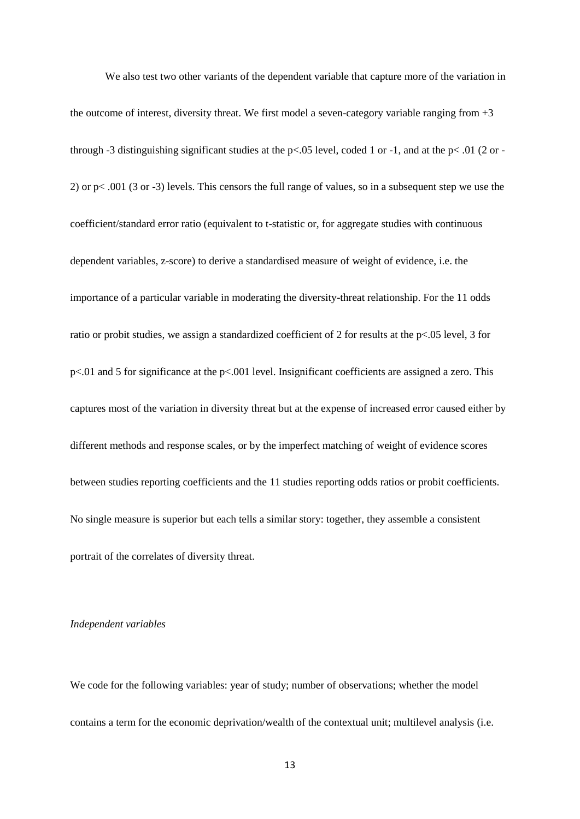We also test two other variants of the dependent variable that capture more of the variation in the outcome of interest, diversity threat. We first model a seven-category variable ranging from +3 through -3 distinguishing significant studies at the p<.05 level, coded 1 or -1, and at the p<.01 (2 or -2) or p< .001 (3 or -3) levels. This censors the full range of values, so in a subsequent step we use the coefficient/standard error ratio (equivalent to t-statistic or, for aggregate studies with continuous dependent variables, z-score) to derive a standardised measure of weight of evidence, i.e. the importance of a particular variable in moderating the diversity-threat relationship. For the 11 odds ratio or probit studies, we assign a standardized coefficient of 2 for results at the p<.05 level, 3 for p<.01 and 5 for significance at the p<.001 level. Insignificant coefficients are assigned a zero. This captures most of the variation in diversity threat but at the expense of increased error caused either by different methods and response scales, or by the imperfect matching of weight of evidence scores between studies reporting coefficients and the 11 studies reporting odds ratios or probit coefficients. No single measure is superior but each tells a similar story: together, they assemble a consistent portrait of the correlates of diversity threat.

# *Independent variables*

We code for the following variables: year of study; number of observations; whether the model contains a term for the economic deprivation/wealth of the contextual unit; multilevel analysis (i.e.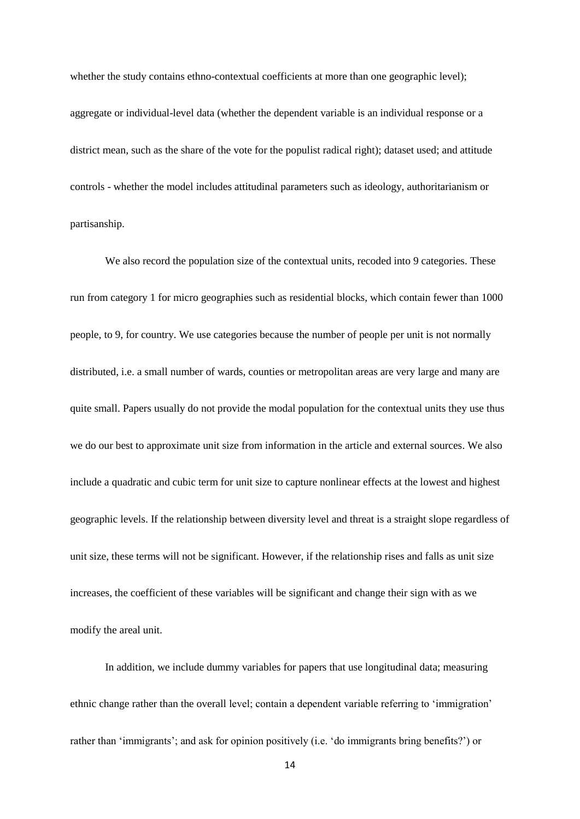whether the study contains ethno-contextual coefficients at more than one geographic level); aggregate or individual-level data (whether the dependent variable is an individual response or a district mean, such as the share of the vote for the populist radical right); dataset used; and attitude controls - whether the model includes attitudinal parameters such as ideology, authoritarianism or partisanship.

We also record the population size of the contextual units, recoded into 9 categories. These run from category 1 for micro geographies such as residential blocks, which contain fewer than 1000 people, to 9, for country. We use categories because the number of people per unit is not normally distributed, i.e. a small number of wards, counties or metropolitan areas are very large and many are quite small. Papers usually do not provide the modal population for the contextual units they use thus we do our best to approximate unit size from information in the article and external sources. We also include a quadratic and cubic term for unit size to capture nonlinear effects at the lowest and highest geographic levels. If the relationship between diversity level and threat is a straight slope regardless of unit size, these terms will not be significant. However, if the relationship rises and falls as unit size increases, the coefficient of these variables will be significant and change their sign with as we modify the areal unit.

In addition, we include dummy variables for papers that use longitudinal data; measuring ethnic change rather than the overall level; contain a dependent variable referring to 'immigration' rather than 'immigrants'; and ask for opinion positively (i.e. 'do immigrants bring benefits?') or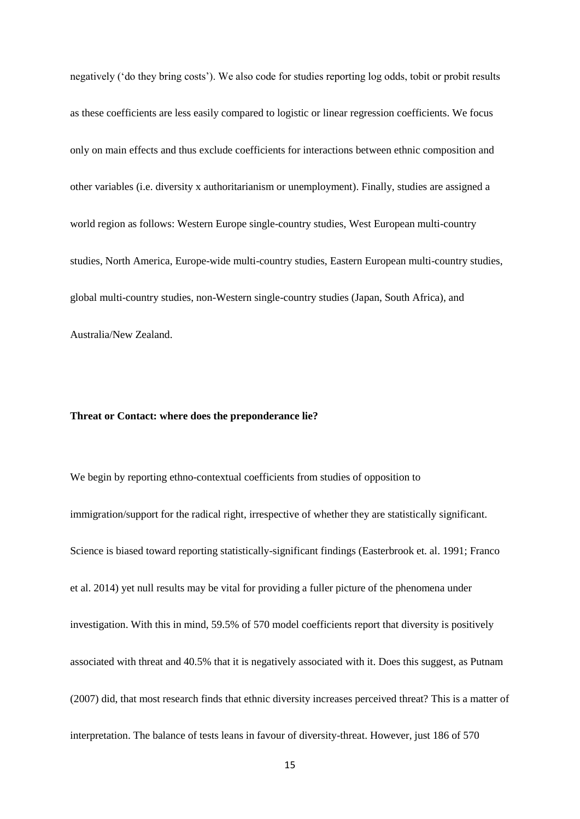negatively ('do they bring costs'). We also code for studies reporting log odds, tobit or probit results as these coefficients are less easily compared to logistic or linear regression coefficients. We focus only on main effects and thus exclude coefficients for interactions between ethnic composition and other variables (i.e. diversity x authoritarianism or unemployment). Finally, studies are assigned a world region as follows: Western Europe single-country studies, West European multi-country studies, North America, Europe-wide multi-country studies, Eastern European multi-country studies, global multi-country studies, non-Western single-country studies (Japan, South Africa), and Australia/New Zealand.

### **Threat or Contact: where does the preponderance lie?**

We begin by reporting ethno-contextual coefficients from studies of opposition to immigration/support for the radical right, irrespective of whether they are statistically significant. Science is biased toward reporting statistically-significant findings (Easterbrook et. al. 1991; Franco et al. 2014) yet null results may be vital for providing a fuller picture of the phenomena under investigation. With this in mind, 59.5% of 570 model coefficients report that diversity is positively associated with threat and 40.5% that it is negatively associated with it. Does this suggest, as Putnam (2007) did, that most research finds that ethnic diversity increases perceived threat? This is a matter of interpretation. The balance of tests leans in favour of diversity-threat. However, just 186 of 570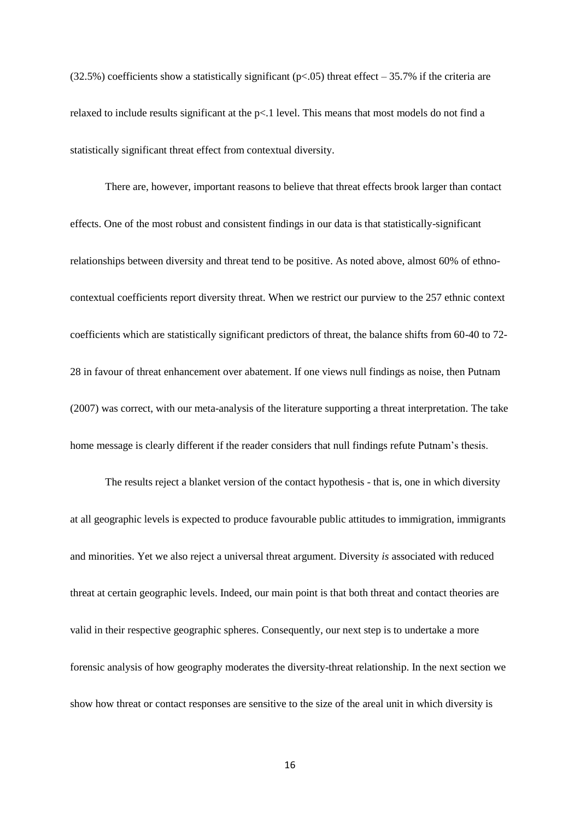$(32.5%)$  coefficients show a statistically significant (p<.05) threat effect – 35.7% if the criteria are relaxed to include results significant at the p<.1 level. This means that most models do not find a statistically significant threat effect from contextual diversity.

There are, however, important reasons to believe that threat effects brook larger than contact effects. One of the most robust and consistent findings in our data is that statistically-significant relationships between diversity and threat tend to be positive. As noted above, almost 60% of ethnocontextual coefficients report diversity threat. When we restrict our purview to the 257 ethnic context coefficients which are statistically significant predictors of threat, the balance shifts from 60-40 to 72- 28 in favour of threat enhancement over abatement. If one views null findings as noise, then Putnam (2007) was correct, with our meta-analysis of the literature supporting a threat interpretation. The take home message is clearly different if the reader considers that null findings refute Putnam's thesis.

The results reject a blanket version of the contact hypothesis - that is, one in which diversity at all geographic levels is expected to produce favourable public attitudes to immigration, immigrants and minorities. Yet we also reject a universal threat argument. Diversity *is* associated with reduced threat at certain geographic levels. Indeed, our main point is that both threat and contact theories are valid in their respective geographic spheres. Consequently, our next step is to undertake a more forensic analysis of how geography moderates the diversity-threat relationship. In the next section we show how threat or contact responses are sensitive to the size of the areal unit in which diversity is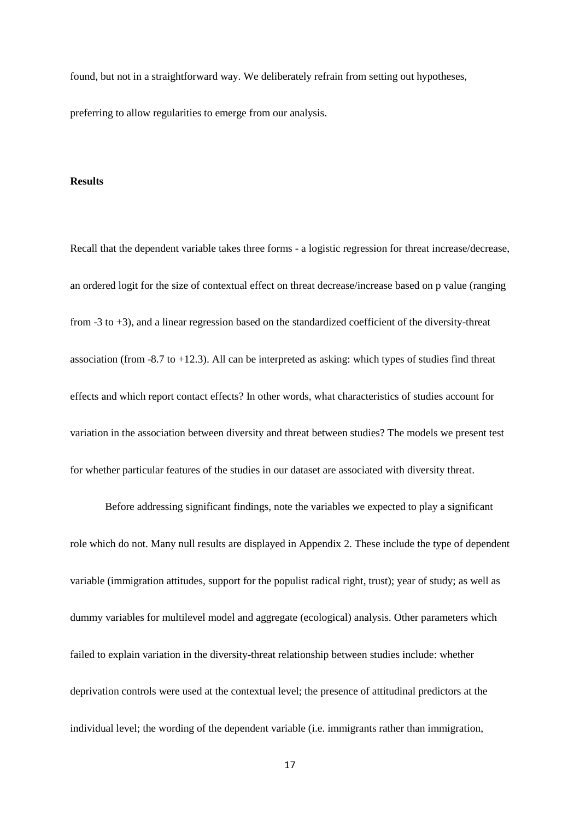found, but not in a straightforward way. We deliberately refrain from setting out hypotheses, preferring to allow regularities to emerge from our analysis.

### **Results**

Recall that the dependent variable takes three forms - a logistic regression for threat increase/decrease, an ordered logit for the size of contextual effect on threat decrease/increase based on p value (ranging from -3 to +3), and a linear regression based on the standardized coefficient of the diversity-threat association (from  $-8.7$  to  $+12.3$ ). All can be interpreted as asking: which types of studies find threat effects and which report contact effects? In other words, what characteristics of studies account for variation in the association between diversity and threat between studies? The models we present test for whether particular features of the studies in our dataset are associated with diversity threat.

Before addressing significant findings, note the variables we expected to play a significant role which do not. Many null results are displayed in Appendix 2. These include the type of dependent variable (immigration attitudes, support for the populist radical right, trust); year of study; as well as dummy variables for multilevel model and aggregate (ecological) analysis. Other parameters which failed to explain variation in the diversity-threat relationship between studies include: whether deprivation controls were used at the contextual level; the presence of attitudinal predictors at the individual level; the wording of the dependent variable (i.e. immigrants rather than immigration,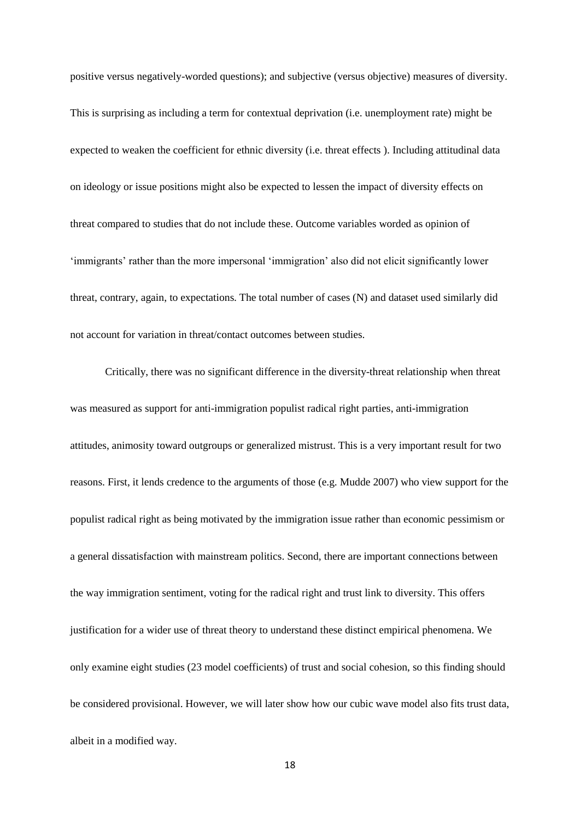positive versus negatively-worded questions); and subjective (versus objective) measures of diversity. This is surprising as including a term for contextual deprivation (i.e. unemployment rate) might be expected to weaken the coefficient for ethnic diversity (i.e. threat effects ). Including attitudinal data on ideology or issue positions might also be expected to lessen the impact of diversity effects on threat compared to studies that do not include these. Outcome variables worded as opinion of 'immigrants' rather than the more impersonal 'immigration' also did not elicit significantly lower threat, contrary, again, to expectations. The total number of cases (N) and dataset used similarly did not account for variation in threat/contact outcomes between studies.

Critically, there was no significant difference in the diversity-threat relationship when threat was measured as support for anti-immigration populist radical right parties, anti-immigration attitudes, animosity toward outgroups or generalized mistrust. This is a very important result for two reasons. First, it lends credence to the arguments of those (e.g. Mudde 2007) who view support for the populist radical right as being motivated by the immigration issue rather than economic pessimism or a general dissatisfaction with mainstream politics. Second, there are important connections between the way immigration sentiment, voting for the radical right and trust link to diversity. This offers justification for a wider use of threat theory to understand these distinct empirical phenomena. We only examine eight studies (23 model coefficients) of trust and social cohesion, so this finding should be considered provisional. However, we will later show how our cubic wave model also fits trust data, albeit in a modified way.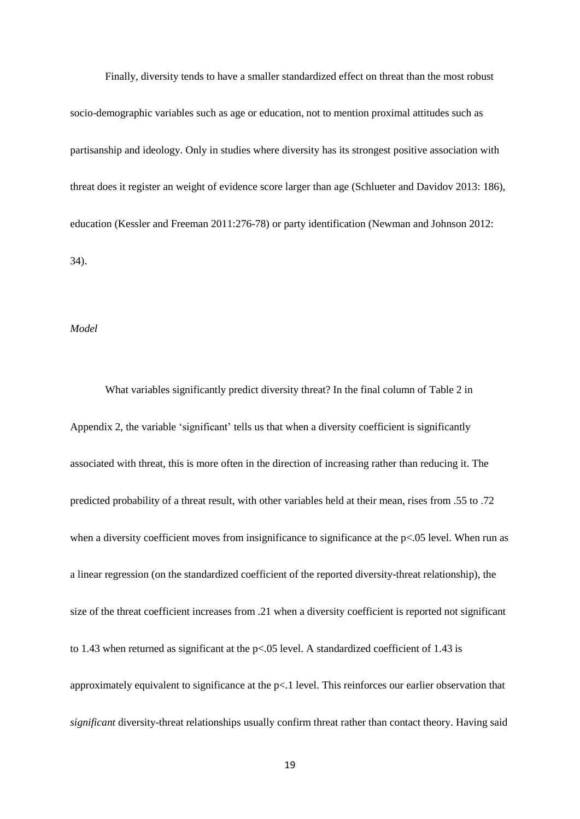Finally, diversity tends to have a smaller standardized effect on threat than the most robust socio-demographic variables such as age or education, not to mention proximal attitudes such as partisanship and ideology. Only in studies where diversity has its strongest positive association with threat does it register an weight of evidence score larger than age (Schlueter and Davidov 2013: 186), education (Kessler and Freeman 2011:276-78) or party identification (Newman and Johnson 2012: 34).

### *Model*

What variables significantly predict diversity threat? In the final column of Table 2 in Appendix 2, the variable 'significant' tells us that when a diversity coefficient is significantly associated with threat, this is more often in the direction of increasing rather than reducing it. The predicted probability of a threat result, with other variables held at their mean, rises from .55 to .72 when a diversity coefficient moves from insignificance to significance at the  $p\lt 0.05$  level. When run as a linear regression (on the standardized coefficient of the reported diversity-threat relationship), the size of the threat coefficient increases from .21 when a diversity coefficient is reported not significant to 1.43 when returned as significant at the p<.05 level. A standardized coefficient of 1.43 is approximately equivalent to significance at the p<.1 level. This reinforces our earlier observation that *significant* diversity-threat relationships usually confirm threat rather than contact theory. Having said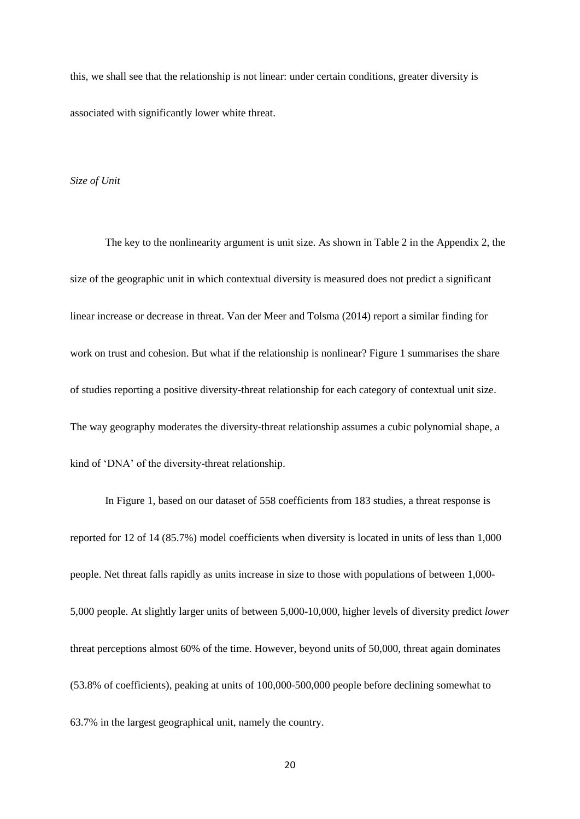this, we shall see that the relationship is not linear: under certain conditions, greater diversity is associated with significantly lower white threat.

### *Size of Unit*

The key to the nonlinearity argument is unit size. As shown in Table 2 in the Appendix 2, the size of the geographic unit in which contextual diversity is measured does not predict a significant linear increase or decrease in threat. Van der Meer and Tolsma (2014) report a similar finding for work on trust and cohesion. But what if the relationship is nonlinear? Figure 1 summarises the share of studies reporting a positive diversity-threat relationship for each category of contextual unit size. The way geography moderates the diversity-threat relationship assumes a cubic polynomial shape, a kind of 'DNA' of the diversity-threat relationship.

In Figure 1, based on our dataset of 558 coefficients from 183 studies, a threat response is reported for 12 of 14 (85.7%) model coefficients when diversity is located in units of less than 1,000 people. Net threat falls rapidly as units increase in size to those with populations of between 1,000- 5,000 people. At slightly larger units of between 5,000-10,000, higher levels of diversity predict *lower* threat perceptions almost 60% of the time. However, beyond units of 50,000, threat again dominates (53.8% of coefficients), peaking at units of 100,000-500,000 people before declining somewhat to 63.7% in the largest geographical unit, namely the country.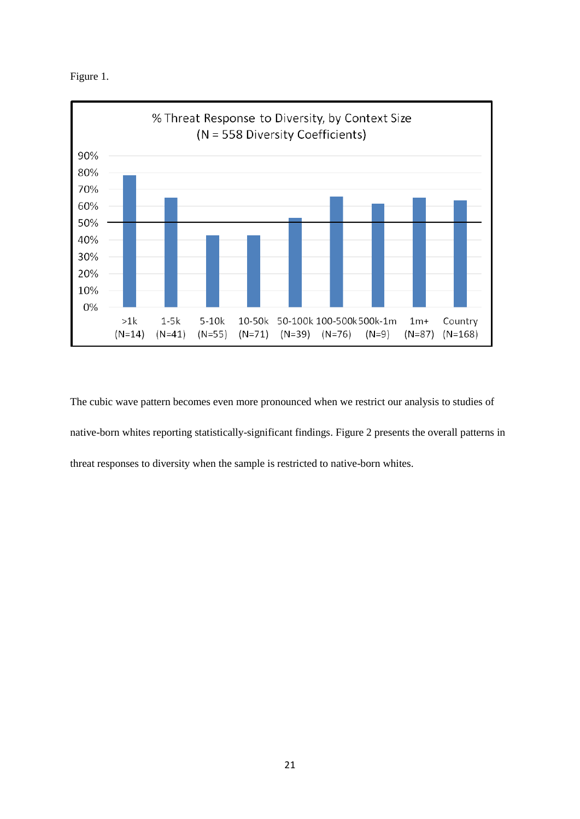



The cubic wave pattern becomes even more pronounced when we restrict our analysis to studies of native-born whites reporting statistically-significant findings. Figure 2 presents the overall patterns in threat responses to diversity when the sample is restricted to native-born whites.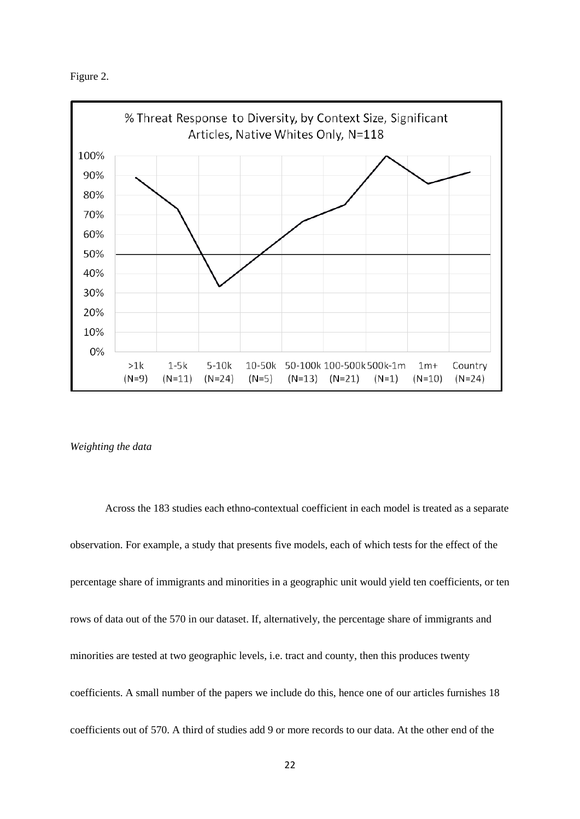



*Weighting the data*

Across the 183 studies each ethno-contextual coefficient in each model is treated as a separate observation. For example, a study that presents five models, each of which tests for the effect of the percentage share of immigrants and minorities in a geographic unit would yield ten coefficients, or ten rows of data out of the 570 in our dataset. If, alternatively, the percentage share of immigrants and minorities are tested at two geographic levels, i.e. tract and county, then this produces twenty coefficients. A small number of the papers we include do this, hence one of our articles furnishes 18 coefficients out of 570. A third of studies add 9 or more records to our data. At the other end of the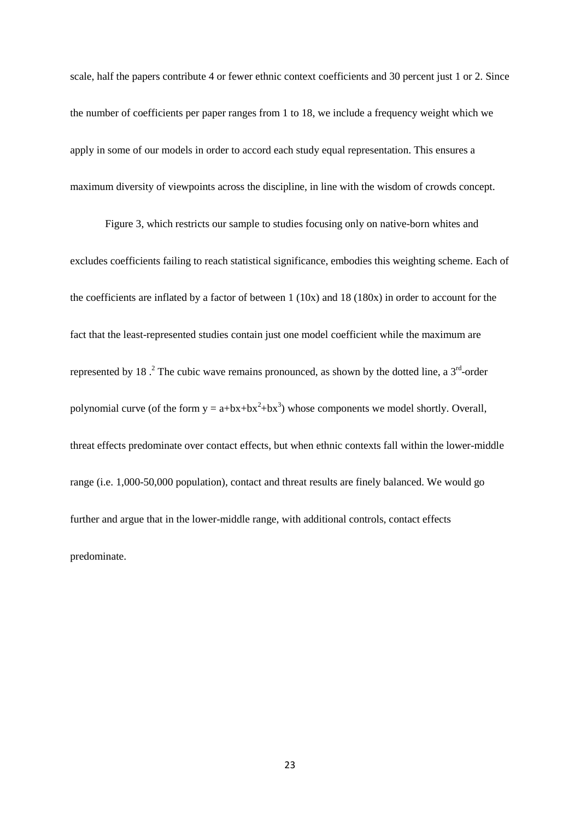scale, half the papers contribute 4 or fewer ethnic context coefficients and 30 percent just 1 or 2. Since the number of coefficients per paper ranges from 1 to 18, we include a frequency weight which we apply in some of our models in order to accord each study equal representation. This ensures a maximum diversity of viewpoints across the discipline, in line with the wisdom of crowds concept.

Figure 3, which restricts our sample to studies focusing only on native-born whites and excludes coefficients failing to reach statistical significance, embodies this weighting scheme. Each of the coefficients are inflated by a factor of between 1 (10x) and 18 (180x) in order to account for the fact that the least-represented studies contain just one model coefficient while the maximum are represented by 18  $\cdot$  The cubic wave remains pronounced, as shown by the dotted line, a 3<sup>rd</sup>-order polynomial curve (of the form  $y = a + bx + bx^2 + bx^3$ ) whose components we model shortly. Overall, threat effects predominate over contact effects, but when ethnic contexts fall within the lower-middle range (i.e. 1,000-50,000 population), contact and threat results are finely balanced. We would go further and argue that in the lower-middle range, with additional controls, contact effects predominate.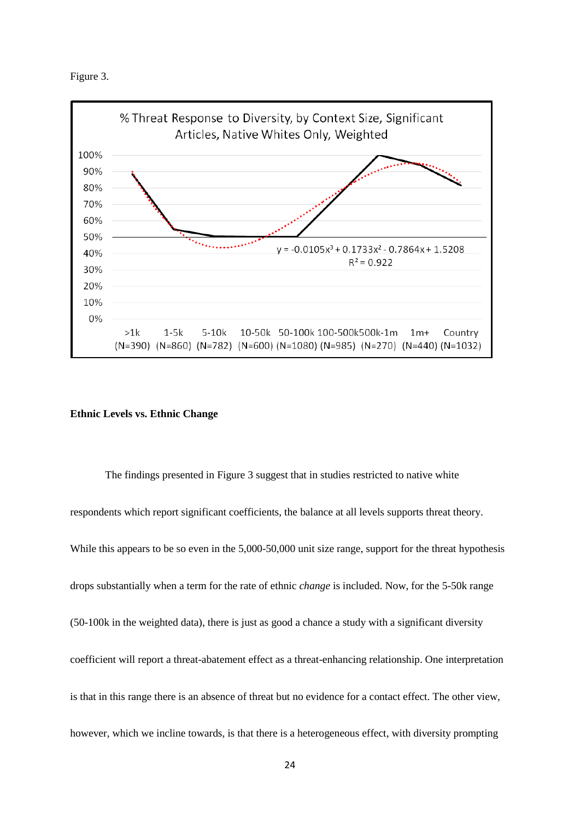



# **Ethnic Levels vs. Ethnic Change**

The findings presented in Figure 3 suggest that in studies restricted to native white respondents which report significant coefficients, the balance at all levels supports threat theory. While this appears to be so even in the 5,000-50,000 unit size range, support for the threat hypothesis drops substantially when a term for the rate of ethnic *change* is included. Now, for the 5-50k range (50-100k in the weighted data), there is just as good a chance a study with a significant diversity coefficient will report a threat-abatement effect as a threat-enhancing relationship. One interpretation is that in this range there is an absence of threat but no evidence for a contact effect. The other view, however, which we incline towards, is that there is a heterogeneous effect, with diversity prompting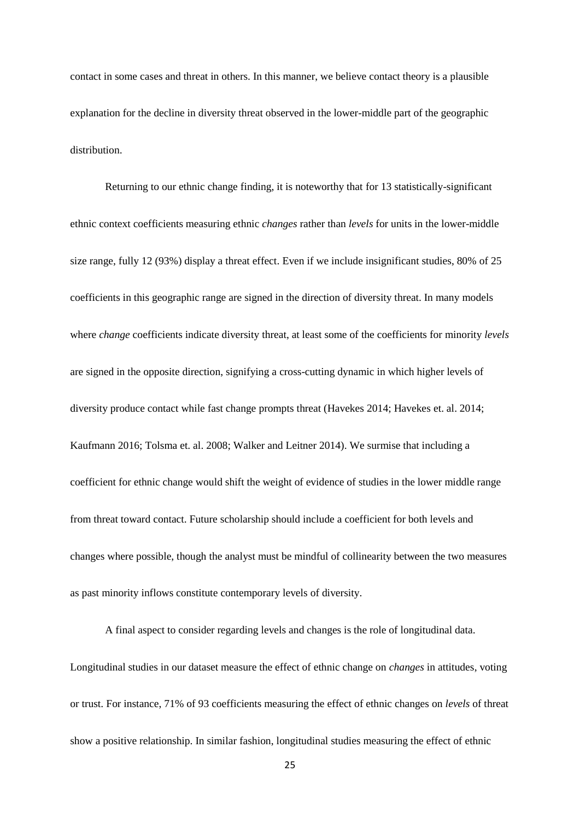contact in some cases and threat in others. In this manner, we believe contact theory is a plausible explanation for the decline in diversity threat observed in the lower-middle part of the geographic distribution.

Returning to our ethnic change finding, it is noteworthy that for 13 statistically-significant ethnic context coefficients measuring ethnic *changes* rather than *levels* for units in the lower-middle size range, fully 12 (93%) display a threat effect. Even if we include insignificant studies, 80% of 25 coefficients in this geographic range are signed in the direction of diversity threat. In many models where *change* coefficients indicate diversity threat, at least some of the coefficients for minority *levels* are signed in the opposite direction, signifying a cross-cutting dynamic in which higher levels of diversity produce contact while fast change prompts threat (Havekes 2014; Havekes et. al. 2014; Kaufmann 2016; Tolsma et. al. 2008; Walker and Leitner 2014). We surmise that including a coefficient for ethnic change would shift the weight of evidence of studies in the lower middle range from threat toward contact. Future scholarship should include a coefficient for both levels and changes where possible, though the analyst must be mindful of collinearity between the two measures as past minority inflows constitute contemporary levels of diversity.

A final aspect to consider regarding levels and changes is the role of longitudinal data. Longitudinal studies in our dataset measure the effect of ethnic change on *changes* in attitudes, voting or trust. For instance, 71% of 93 coefficients measuring the effect of ethnic changes on *levels* of threat show a positive relationship. In similar fashion, longitudinal studies measuring the effect of ethnic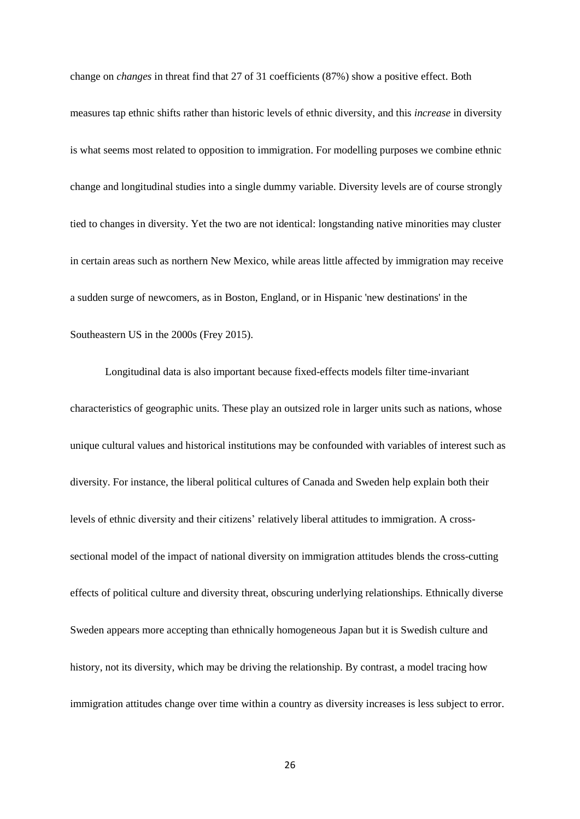change on *changes* in threat find that 27 of 31 coefficients (87%) show a positive effect. Both measures tap ethnic shifts rather than historic levels of ethnic diversity, and this *increase* in diversity is what seems most related to opposition to immigration. For modelling purposes we combine ethnic change and longitudinal studies into a single dummy variable. Diversity levels are of course strongly tied to changes in diversity. Yet the two are not identical: longstanding native minorities may cluster in certain areas such as northern New Mexico, while areas little affected by immigration may receive a sudden surge of newcomers, as in Boston, England, or in Hispanic 'new destinations' in the Southeastern US in the 2000s (Frey 2015).

Longitudinal data is also important because fixed-effects models filter time-invariant characteristics of geographic units. These play an outsized role in larger units such as nations, whose unique cultural values and historical institutions may be confounded with variables of interest such as diversity. For instance, the liberal political cultures of Canada and Sweden help explain both their levels of ethnic diversity and their citizens' relatively liberal attitudes to immigration. A crosssectional model of the impact of national diversity on immigration attitudes blends the cross-cutting effects of political culture and diversity threat, obscuring underlying relationships. Ethnically diverse Sweden appears more accepting than ethnically homogeneous Japan but it is Swedish culture and history, not its diversity, which may be driving the relationship. By contrast, a model tracing how immigration attitudes change over time within a country as diversity increases is less subject to error.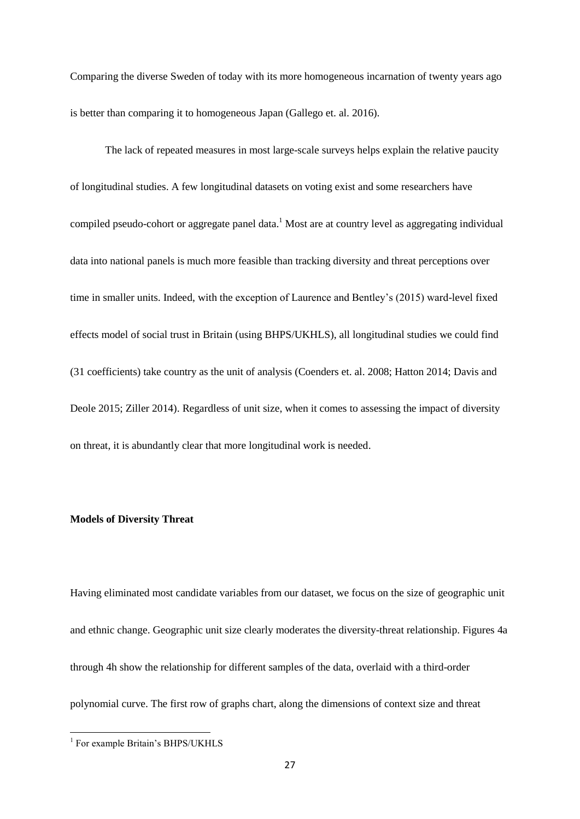Comparing the diverse Sweden of today with its more homogeneous incarnation of twenty years ago is better than comparing it to homogeneous Japan (Gallego et. al. 2016).

The lack of repeated measures in most large-scale surveys helps explain the relative paucity of longitudinal studies. A few longitudinal datasets on voting exist and some researchers have compiled pseudo-cohort or aggregate panel data.<sup>1</sup> Most are at country level as aggregating individual data into national panels is much more feasible than tracking diversity and threat perceptions over time in smaller units. Indeed, with the exception of Laurence and Bentley's (2015) ward-level fixed effects model of social trust in Britain (using BHPS/UKHLS), all longitudinal studies we could find (31 coefficients) take country as the unit of analysis (Coenders et. al. 2008; Hatton 2014; Davis and Deole 2015; Ziller 2014). Regardless of unit size, when it comes to assessing the impact of diversity on threat, it is abundantly clear that more longitudinal work is needed.

# **Models of Diversity Threat**

Having eliminated most candidate variables from our dataset, we focus on the size of geographic unit and ethnic change. Geographic unit size clearly moderates the diversity-threat relationship. Figures 4a through 4h show the relationship for different samples of the data, overlaid with a third-order polynomial curve. The first row of graphs chart, along the dimensions of context size and threat

 1 For example Britain's BHPS/UKHLS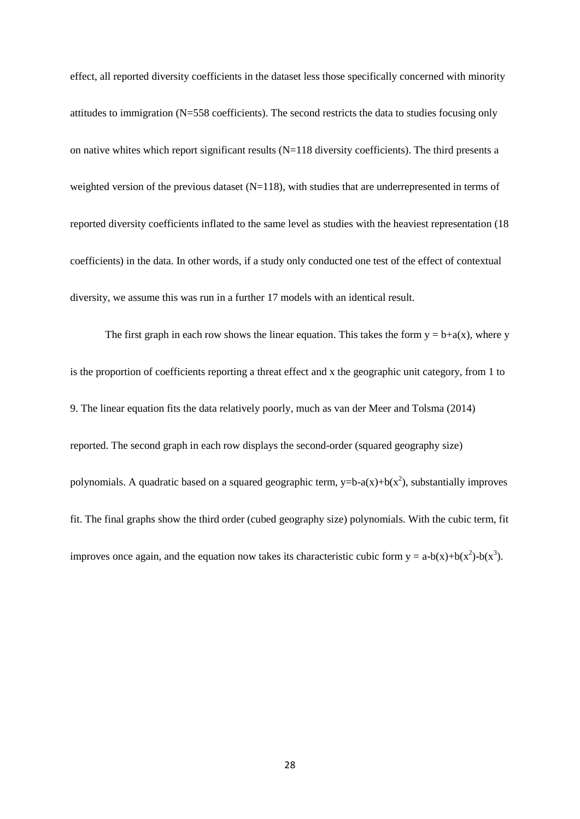effect, all reported diversity coefficients in the dataset less those specifically concerned with minority attitudes to immigration (N=558 coefficients). The second restricts the data to studies focusing only on native whites which report significant results (N=118 diversity coefficients). The third presents a weighted version of the previous dataset  $(N=118)$ , with studies that are underrepresented in terms of reported diversity coefficients inflated to the same level as studies with the heaviest representation (18 coefficients) in the data. In other words, if a study only conducted one test of the effect of contextual diversity, we assume this was run in a further 17 models with an identical result.

The first graph in each row shows the linear equation. This takes the form  $y = b+a(x)$ , where y is the proportion of coefficients reporting a threat effect and x the geographic unit category, from 1 to 9. The linear equation fits the data relatively poorly, much as van der Meer and Tolsma (2014) reported. The second graph in each row displays the second-order (squared geography size) polynomials. A quadratic based on a squared geographic term,  $y=b-a(x)+b(x^2)$ , substantially improves fit. The final graphs show the third order (cubed geography size) polynomials. With the cubic term, fit improves once again, and the equation now takes its characteristic cubic form  $y = a-b(x)+b(x^2)-b(x^3)$ .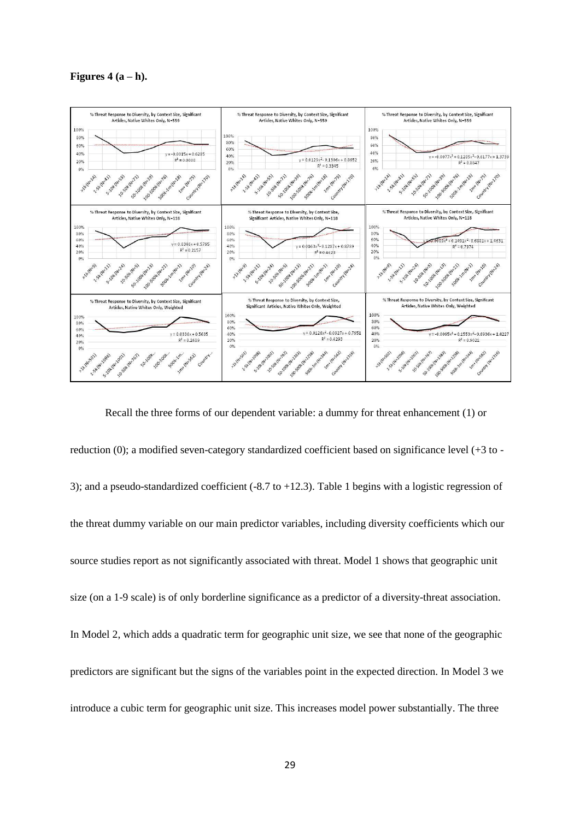**Figures**  $4(a-h)$ .



Recall the three forms of our dependent variable: a dummy for threat enhancement (1) or reduction (0); a modified seven-category standardized coefficient based on significance level (+3 to - 3); and a pseudo-standardized coefficient (-8.7 to +12.3). Table 1 begins with a logistic regression of the threat dummy variable on our main predictor variables, including diversity coefficients which our source studies report as not significantly associated with threat. Model 1 shows that geographic unit size (on a 1-9 scale) is of only borderline significance as a predictor of a diversity-threat association. In Model 2, which adds a quadratic term for geographic unit size, we see that none of the geographic predictors are significant but the signs of the variables point in the expected direction. In Model 3 we introduce a cubic term for geographic unit size. This increases model power substantially. The three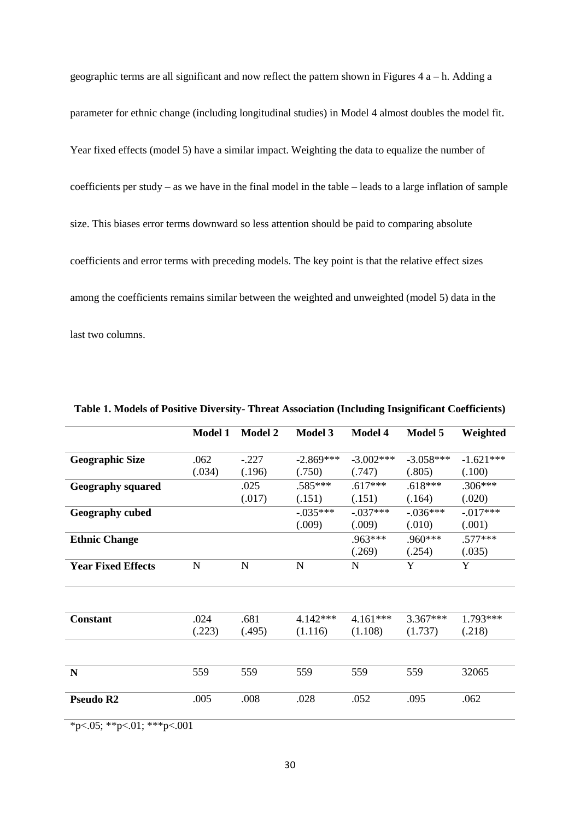geographic terms are all significant and now reflect the pattern shown in Figures 4 a – h. Adding a parameter for ethnic change (including longitudinal studies) in Model 4 almost doubles the model fit. Year fixed effects (model 5) have a similar impact. Weighting the data to equalize the number of coefficients per study – as we have in the final model in the table – leads to a large inflation of sample size. This biases error terms downward so less attention should be paid to comparing absolute coefficients and error terms with preceding models. The key point is that the relative effect sizes among the coefficients remains similar between the weighted and unweighted (model 5) data in the last two columns.

|                           | <b>Model 1</b> | <b>Model 2</b>    | <b>Model 3</b>        | <b>Model 4</b>        | Model 5               | Weighted              |
|---------------------------|----------------|-------------------|-----------------------|-----------------------|-----------------------|-----------------------|
| <b>Geographic Size</b>    | .062<br>(.034) | $-.227$<br>(.196) | $-2.869***$<br>(.750) | $-3.002***$<br>(.747) | $-3.058***$<br>(.805) | $-1.621***$<br>(.100) |
| <b>Geography squared</b>  |                | .025<br>(.017)    | $.585***$<br>(.151)   | $.617***$<br>(.151)   | $.618***$<br>(.164)   | $.306***$<br>(.020)   |
| <b>Geography cubed</b>    |                |                   | $-.035***$<br>(.009)  | $-.037***$<br>(.009)  | $-.036***$<br>(.010)  | $-.017***$<br>(.001)  |
| <b>Ethnic Change</b>      |                |                   |                       | $.963***$<br>(.269)   | $.960***$<br>(.254)   | $.577***$<br>(.035)   |
| <b>Year Fixed Effects</b> | N              | $\mathbf N$       | $\mathbf N$           | N                     | Y                     | Y                     |
|                           |                |                   |                       |                       |                       |                       |
| <b>Constant</b>           | .024<br>(.223) | .681<br>(.495)    | $4.142***$<br>(1.116) | $4.161***$<br>(1.108) | $3.367***$<br>(1.737) | 1.793***<br>(.218)    |
|                           |                |                   |                       |                       |                       |                       |
| $\mathbf N$               | 559            | 559               | 559                   | 559                   | 559                   | 32065                 |
| Pseudo R <sub>2</sub>     | .005           | .008              | .028                  | .052                  | .095                  | .062                  |

**Table 1. Models of Positive Diversity- Threat Association (Including Insignificant Coefficients)**

 $*p<0.05; **p<0.01; **p<0.001$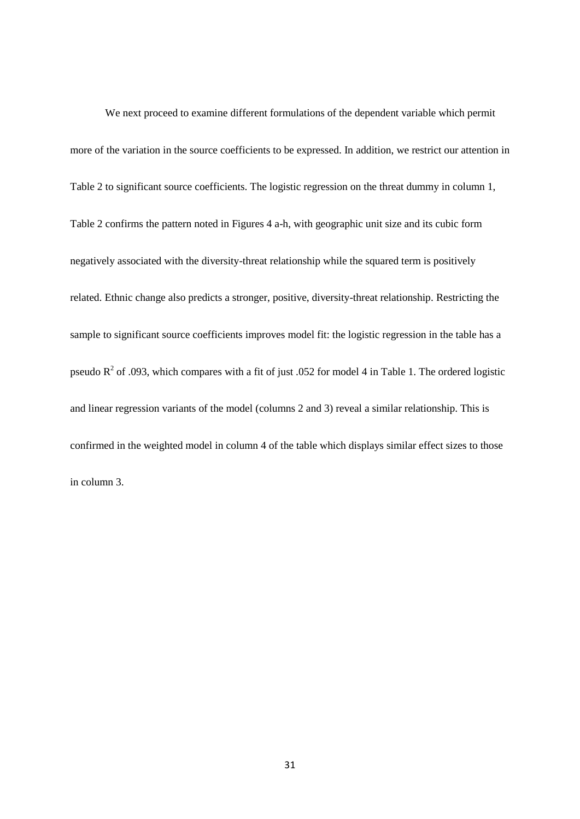We next proceed to examine different formulations of the dependent variable which permit more of the variation in the source coefficients to be expressed. In addition, we restrict our attention in Table 2 to significant source coefficients. The logistic regression on the threat dummy in column 1, Table 2 confirms the pattern noted in Figures 4 a-h, with geographic unit size and its cubic form negatively associated with the diversity-threat relationship while the squared term is positively related. Ethnic change also predicts a stronger, positive, diversity-threat relationship. Restricting the sample to significant source coefficients improves model fit: the logistic regression in the table has a pseudo  $R^2$  of .093, which compares with a fit of just .052 for model 4 in Table 1. The ordered logistic and linear regression variants of the model (columns 2 and 3) reveal a similar relationship. This is confirmed in the weighted model in column 4 of the table which displays similar effect sizes to those in column 3.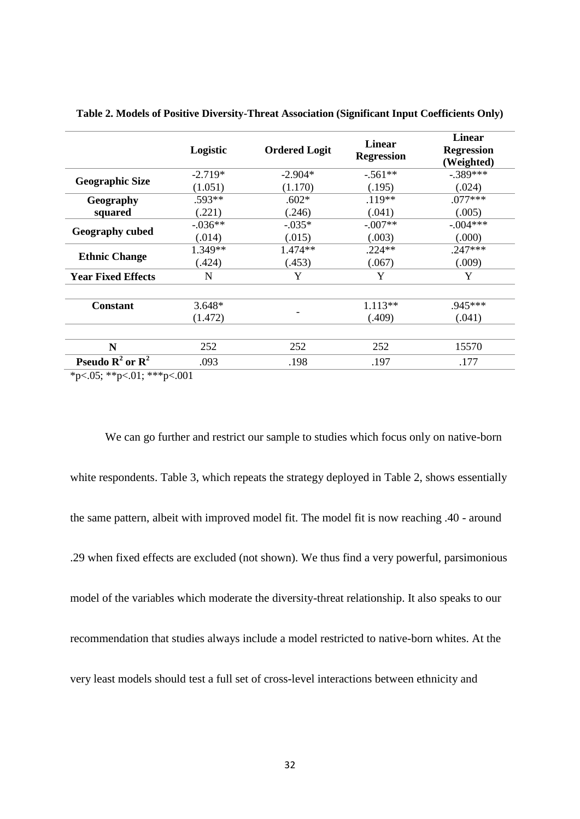|                                               | Logistic  | <b>Ordered Logit</b> | <b>Linear</b><br><b>Regression</b> | Linear<br><b>Regression</b><br>(Weighted) |
|-----------------------------------------------|-----------|----------------------|------------------------------------|-------------------------------------------|
|                                               | $-2.719*$ | $-2.904*$            | $-.561**$                          | $-.389***$                                |
| <b>Geographic Size</b>                        | (1.051)   | (1.170)              | (.195)                             | (.024)                                    |
| Geography                                     | .593**    | $.602*$              | $.119**$                           | $.077***$                                 |
| squared                                       | (.221)    | (.246)               | (.041)                             | (.005)                                    |
| <b>Geography cubed</b>                        | $-.036**$ | $-0.035*$            | $-.007**$                          | $-.004***$                                |
|                                               | (.014)    | (.015)               | (.003)                             | (.000)                                    |
|                                               | 1.349**   | $1.474**$            | $.224**$                           | $.247***$                                 |
| <b>Ethnic Change</b>                          | (.424)    | (.453)               | (.067)                             | (.009)                                    |
| <b>Year Fixed Effects</b>                     | N         | Y                    | Y                                  | Y                                         |
| <b>Constant</b>                               | $3.648*$  |                      | $1.113**$                          | .945***                                   |
|                                               | (1.472)   |                      | (.409)                             | (.041)                                    |
| N                                             | 252       | 252                  | 252                                | 15570                                     |
| <b>Pseudo R<sup>2</sup></b> or $\mathbb{R}^2$ | .093      | .198                 | .197                               | .177                                      |

**Table 2. Models of Positive Diversity-Threat Association (Significant Input Coefficients Only)**

 $*p<0.05; **p<0.1; **p<0.001$ 

We can go further and restrict our sample to studies which focus only on native-born white respondents. Table 3, which repeats the strategy deployed in Table 2, shows essentially the same pattern, albeit with improved model fit. The model fit is now reaching .40 - around .29 when fixed effects are excluded (not shown). We thus find a very powerful, parsimonious model of the variables which moderate the diversity-threat relationship. It also speaks to our recommendation that studies always include a model restricted to native-born whites. At the very least models should test a full set of cross-level interactions between ethnicity and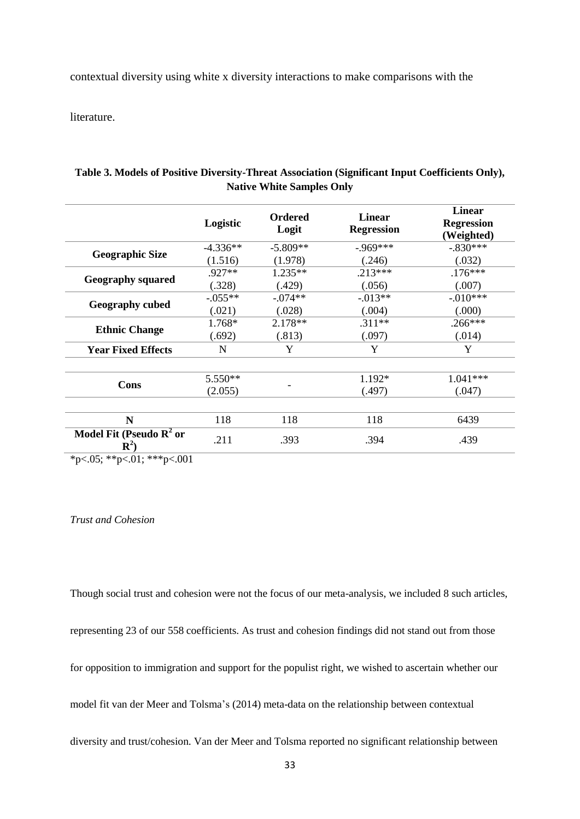contextual diversity using white x diversity interactions to make comparisons with the

literature.

|                                                       | Logistic   | <b>Ordered</b><br>Logit | <b>Linear</b><br><b>Regression</b> | <b>Linear</b><br><b>Regression</b><br>(Weighted) |
|-------------------------------------------------------|------------|-------------------------|------------------------------------|--------------------------------------------------|
|                                                       | $-4.336**$ | $-5.809**$              | $-.969***$                         | $-.830***$                                       |
| <b>Geographic Size</b>                                | (1.516)    | (1.978)                 | (.246)                             | (.032)                                           |
|                                                       | .927**     | $1.235**$               | $.213***$                          | $.176***$                                        |
| <b>Geography squared</b>                              | (.328)     | (.429)                  | (.056)                             | (.007)                                           |
|                                                       | $-.055**$  | $-.074**$               | $-0.013**$                         | $-.010***$                                       |
| <b>Geography cubed</b>                                | (.021)     | (.028)                  | (.004)                             | (0.00)                                           |
|                                                       | 1.768*     | $2.178**$               | $.311**$                           | $.266***$                                        |
| <b>Ethnic Change</b>                                  | (.692)     | (.813)                  | (.097)                             | (.014)                                           |
| <b>Year Fixed Effects</b>                             | N          | Y                       | Y                                  | Y                                                |
| Cons                                                  | $5.550**$  |                         | 1.192*                             | $1.041***$                                       |
|                                                       | (2.055)    |                         | (.497)                             | (.047)                                           |
| N                                                     | 118        | 118                     | 118                                | 6439                                             |
| Model Fit (Pseudo $\mathbb{R}^2$ or<br>$\mathbf{R}^2$ | .211       | .393                    | .394                               | .439                                             |

# **Table 3. Models of Positive Diversity-Threat Association (Significant Input Coefficients Only), Native White Samples Only**

\*p<.05; \*\*p<.01; \*\*\*p<.001

# *Trust and Cohesion*

Though social trust and cohesion were not the focus of our meta-analysis, we included 8 such articles, representing 23 of our 558 coefficients. As trust and cohesion findings did not stand out from those for opposition to immigration and support for the populist right, we wished to ascertain whether our model fit van der Meer and Tolsma's (2014) meta-data on the relationship between contextual diversity and trust/cohesion. Van der Meer and Tolsma reported no significant relationship between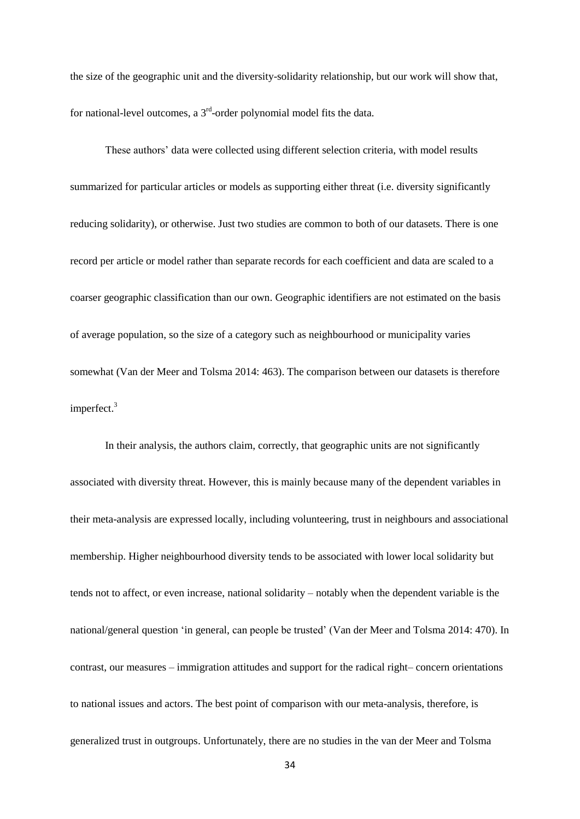the size of the geographic unit and the diversity-solidarity relationship, but our work will show that, for national-level outcomes, a  $3<sup>rd</sup>$ -order polynomial model fits the data.

These authors' data were collected using different selection criteria, with model results summarized for particular articles or models as supporting either threat (i.e. diversity significantly reducing solidarity), or otherwise. Just two studies are common to both of our datasets. There is one record per article or model rather than separate records for each coefficient and data are scaled to a coarser geographic classification than our own. Geographic identifiers are not estimated on the basis of average population, so the size of a category such as neighbourhood or municipality varies somewhat (Van der Meer and Tolsma 2014: 463). The comparison between our datasets is therefore imperfect.<sup>3</sup>

In their analysis, the authors claim, correctly, that geographic units are not significantly associated with diversity threat. However, this is mainly because many of the dependent variables in their meta-analysis are expressed locally, including volunteering, trust in neighbours and associational membership. Higher neighbourhood diversity tends to be associated with lower local solidarity but tends not to affect, or even increase, national solidarity – notably when the dependent variable is the national/general question 'in general, can people be trusted' (Van der Meer and Tolsma 2014: 470). In contrast, our measures – immigration attitudes and support for the radical right– concern orientations to national issues and actors. The best point of comparison with our meta-analysis, therefore, is generalized trust in outgroups. Unfortunately, there are no studies in the van der Meer and Tolsma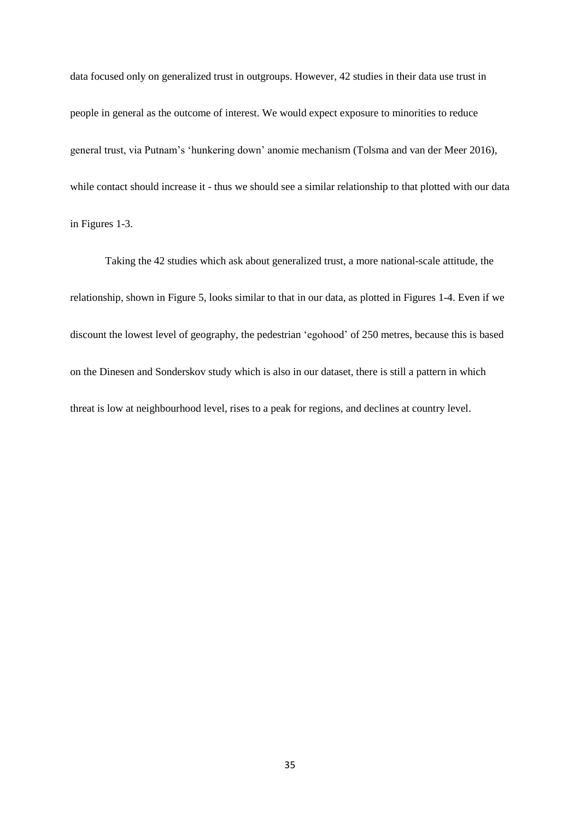data focused only on generalized trust in outgroups. However, 42 studies in their data use trust in people in general as the outcome of interest. We would expect exposure to minorities to reduce general trust, via Putnam's 'hunkering down' anomie mechanism (Tolsma and van der Meer 2016), while contact should increase it - thus we should see a similar relationship to that plotted with our data in Figures 1-3.

Taking the 42 studies which ask about generalized trust, a more national-scale attitude, the relationship, shown in Figure 5, looks similar to that in our data, as plotted in Figures 1-4. Even if we discount the lowest level of geography, the pedestrian 'egohood' of 250 metres, because this is based on the Dinesen and Sonderskov study which is also in our dataset, there is still a pattern in which threat is low at neighbourhood level, rises to a peak for regions, and declines at country level.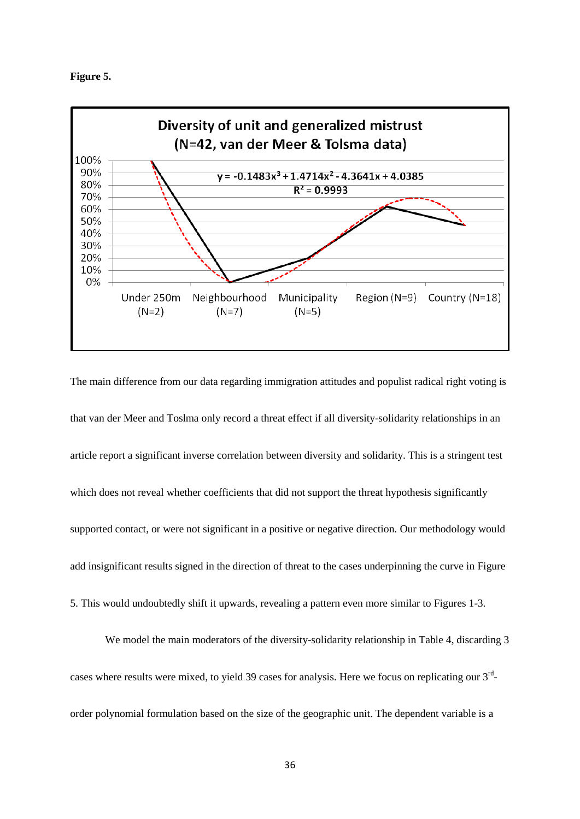



The main difference from our data regarding immigration attitudes and populist radical right voting is that van der Meer and Toslma only record a threat effect if all diversity-solidarity relationships in an article report a significant inverse correlation between diversity and solidarity. This is a stringent test which does not reveal whether coefficients that did not support the threat hypothesis significantly supported contact, or were not significant in a positive or negative direction. Our methodology would add insignificant results signed in the direction of threat to the cases underpinning the curve in Figure 5. This would undoubtedly shift it upwards, revealing a pattern even more similar to Figures 1-3.

We model the main moderators of the diversity-solidarity relationship in Table 4, discarding 3 cases where results were mixed, to yield 39 cases for analysis. Here we focus on replicating our 3<sup>rd</sup>order polynomial formulation based on the size of the geographic unit. The dependent variable is a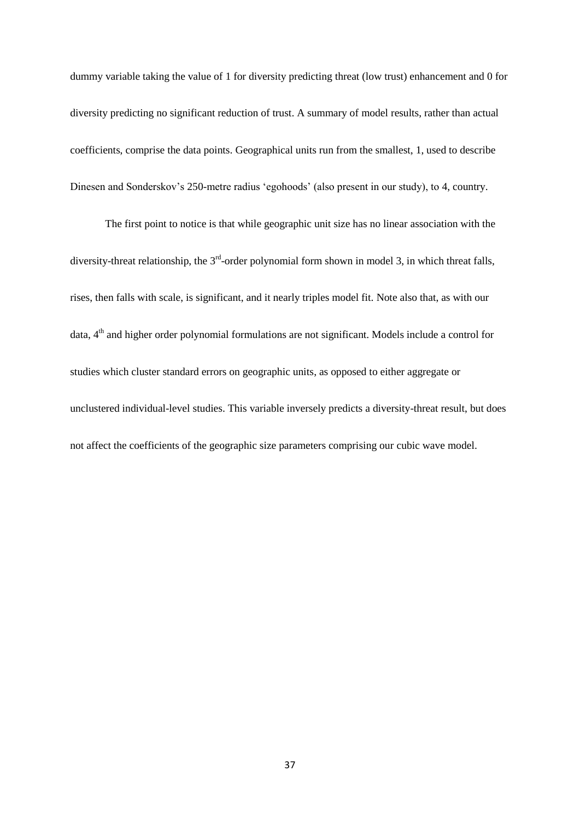dummy variable taking the value of 1 for diversity predicting threat (low trust) enhancement and 0 for diversity predicting no significant reduction of trust. A summary of model results, rather than actual coefficients, comprise the data points. Geographical units run from the smallest, 1, used to describe Dinesen and Sonderskov's 250-metre radius 'egohoods' (also present in our study), to 4, country.

The first point to notice is that while geographic unit size has no linear association with the diversity-threat relationship, the  $3<sup>rd</sup>$ -order polynomial form shown in model 3, in which threat falls, rises, then falls with scale, is significant, and it nearly triples model fit. Note also that, as with our data, 4<sup>th</sup> and higher order polynomial formulations are not significant. Models include a control for studies which cluster standard errors on geographic units, as opposed to either aggregate or unclustered individual-level studies. This variable inversely predicts a diversity-threat result, but does not affect the coefficients of the geographic size parameters comprising our cubic wave model.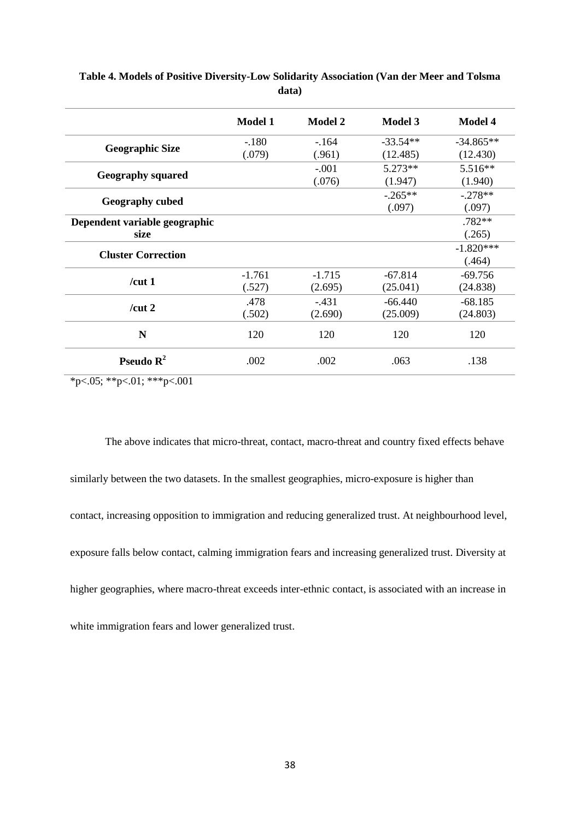| <b>Model 1</b> | <b>Model 2</b> | <b>Model 3</b>                                                                                                            | <b>Model 4</b> |
|----------------|----------------|---------------------------------------------------------------------------------------------------------------------------|----------------|
| $-.180$        | $-164$         | $-33.54**$                                                                                                                | $-34.865**$    |
| (.079)         | (.961)         | (12.485)<br>$5.273**$<br>(1.947)<br>$-0.265**$<br>(.097)<br>$-67.814$<br>(25.041)<br>$-66.440$<br>(25.009)<br>120<br>.063 | (12.430)       |
|                | $-.001$        |                                                                                                                           | 5.516**        |
|                | (.076)         |                                                                                                                           | (1.940)        |
|                |                |                                                                                                                           | $-.278**$      |
|                |                |                                                                                                                           | (.097)         |
|                |                |                                                                                                                           | $.782**$       |
|                |                |                                                                                                                           | (.265)         |
|                |                |                                                                                                                           | $-1.820***$    |
|                |                |                                                                                                                           | (.464)         |
| $-1.761$       | $-1.715$       |                                                                                                                           | $-69.756$      |
| (.527)         | (2.695)        |                                                                                                                           | (24.838)       |
| .478           | $-431$         |                                                                                                                           | $-68.185$      |
| (.502)         | (2.690)        |                                                                                                                           | (24.803)       |
| 120            | 120            |                                                                                                                           | 120            |
| .002           | .002           |                                                                                                                           | .138           |
|                |                |                                                                                                                           |                |

**Table 4. Models of Positive Diversity-Low Solidarity Association (Van der Meer and Tolsma data)**

 $*p<0.05; **p<0.01; **p<0.001$ 

The above indicates that micro-threat, contact, macro-threat and country fixed effects behave similarly between the two datasets. In the smallest geographies, micro-exposure is higher than contact, increasing opposition to immigration and reducing generalized trust. At neighbourhood level, exposure falls below contact, calming immigration fears and increasing generalized trust. Diversity at higher geographies, where macro-threat exceeds inter-ethnic contact, is associated with an increase in white immigration fears and lower generalized trust.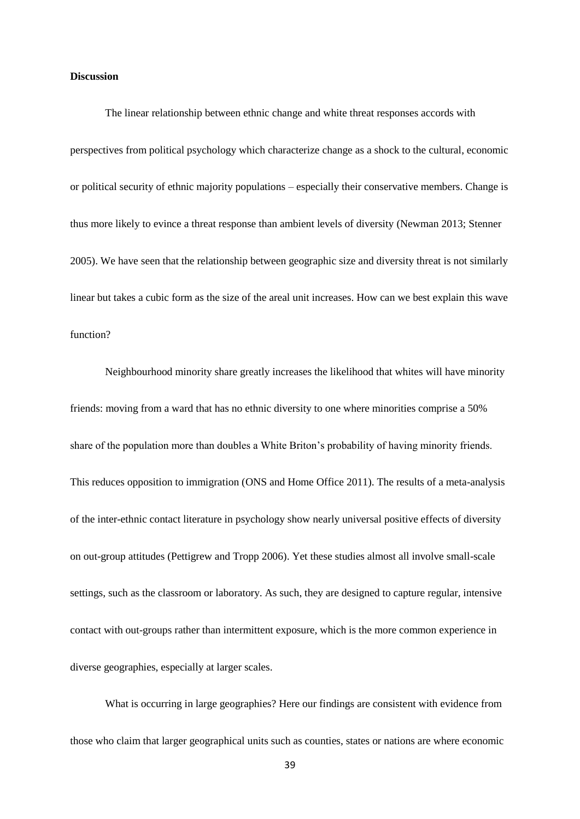### **Discussion**

The linear relationship between ethnic change and white threat responses accords with perspectives from political psychology which characterize change as a shock to the cultural, economic or political security of ethnic majority populations – especially their conservative members. Change is thus more likely to evince a threat response than ambient levels of diversity (Newman 2013; Stenner 2005). We have seen that the relationship between geographic size and diversity threat is not similarly linear but takes a cubic form as the size of the areal unit increases. How can we best explain this wave function?

Neighbourhood minority share greatly increases the likelihood that whites will have minority friends: moving from a ward that has no ethnic diversity to one where minorities comprise a 50% share of the population more than doubles a White Briton's probability of having minority friends. This reduces opposition to immigration (ONS and Home Office 2011). The results of a meta-analysis of the inter-ethnic contact literature in psychology show nearly universal positive effects of diversity on out-group attitudes (Pettigrew and Tropp 2006). Yet these studies almost all involve small-scale settings, such as the classroom or laboratory. As such, they are designed to capture regular, intensive contact with out-groups rather than intermittent exposure, which is the more common experience in diverse geographies, especially at larger scales.

What is occurring in large geographies? Here our findings are consistent with evidence from those who claim that larger geographical units such as counties, states or nations are where economic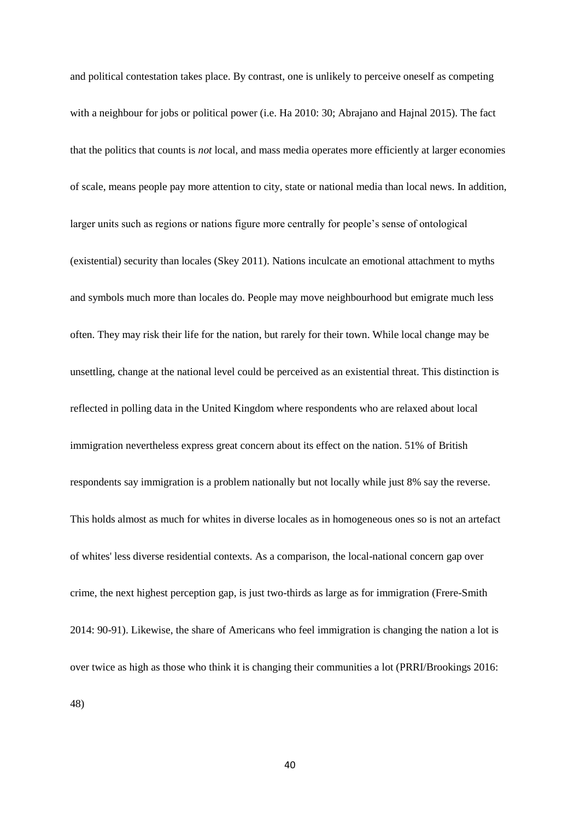and political contestation takes place. By contrast, one is unlikely to perceive oneself as competing with a neighbour for jobs or political power (i.e. Ha 2010: 30; Abrajano and Hajnal 2015). The fact that the politics that counts is *not* local, and mass media operates more efficiently at larger economies of scale, means people pay more attention to city, state or national media than local news. In addition, larger units such as regions or nations figure more centrally for people's sense of ontological (existential) security than locales (Skey 2011). Nations inculcate an emotional attachment to myths and symbols much more than locales do. People may move neighbourhood but emigrate much less often. They may risk their life for the nation, but rarely for their town. While local change may be unsettling, change at the national level could be perceived as an existential threat. This distinction is reflected in polling data in the United Kingdom where respondents who are relaxed about local immigration nevertheless express great concern about its effect on the nation. 51% of British respondents say immigration is a problem nationally but not locally while just 8% say the reverse. This holds almost as much for whites in diverse locales as in homogeneous ones so is not an artefact of whites' less diverse residential contexts. As a comparison, the local-national concern gap over crime, the next highest perception gap, is just two-thirds as large as for immigration (Frere-Smith 2014: 90-91). Likewise, the share of Americans who feel immigration is changing the nation a lot is over twice as high as those who think it is changing their communities a lot (PRRI/Brookings 2016: 48)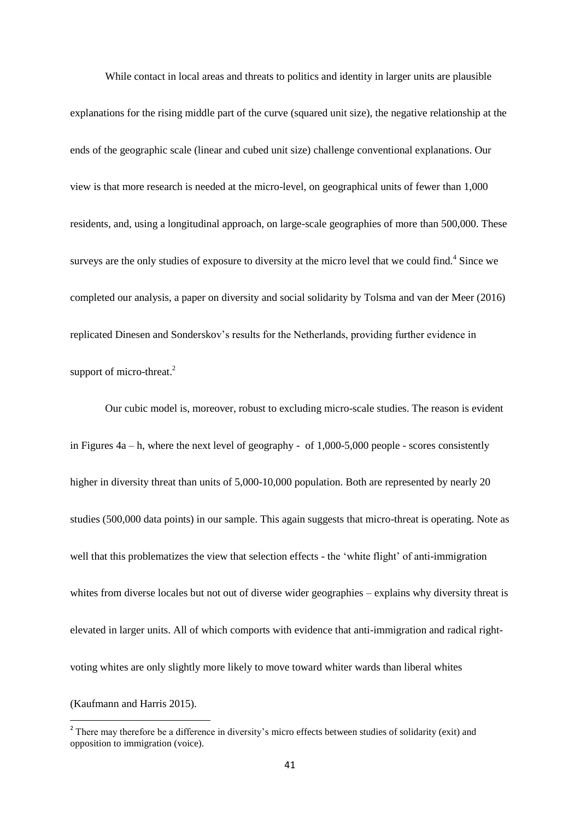While contact in local areas and threats to politics and identity in larger units are plausible explanations for the rising middle part of the curve (squared unit size), the negative relationship at the ends of the geographic scale (linear and cubed unit size) challenge conventional explanations. Our view is that more research is needed at the micro-level, on geographical units of fewer than 1,000 residents, and, using a longitudinal approach, on large-scale geographies of more than 500,000. These surveys are the only studies of exposure to diversity at the micro level that we could find.<sup>4</sup> Since we completed our analysis, a paper on diversity and social solidarity by Tolsma and van der Meer (2016) replicated Dinesen and Sonderskov's results for the Netherlands, providing further evidence in support of micro-threat.<sup>2</sup>

Our cubic model is, moreover, robust to excluding micro-scale studies. The reason is evident in Figures 4a – h, where the next level of geography - of 1,000-5,000 people - scores consistently higher in diversity threat than units of 5,000-10,000 population. Both are represented by nearly 20 studies (500,000 data points) in our sample. This again suggests that micro-threat is operating. Note as well that this problematizes the view that selection effects - the 'white flight' of anti-immigration whites from diverse locales but not out of diverse wider geographies – explains why diversity threat is elevated in larger units. All of which comports with evidence that anti-immigration and radical rightvoting whites are only slightly more likely to move toward whiter wards than liberal whites

(Kaufmann and Harris 2015).

<sup>&</sup>lt;sup>2</sup> There may therefore be a difference in diversity's micro effects between studies of solidarity (exit) and <sup>2</sup> opposition to immigration (voice).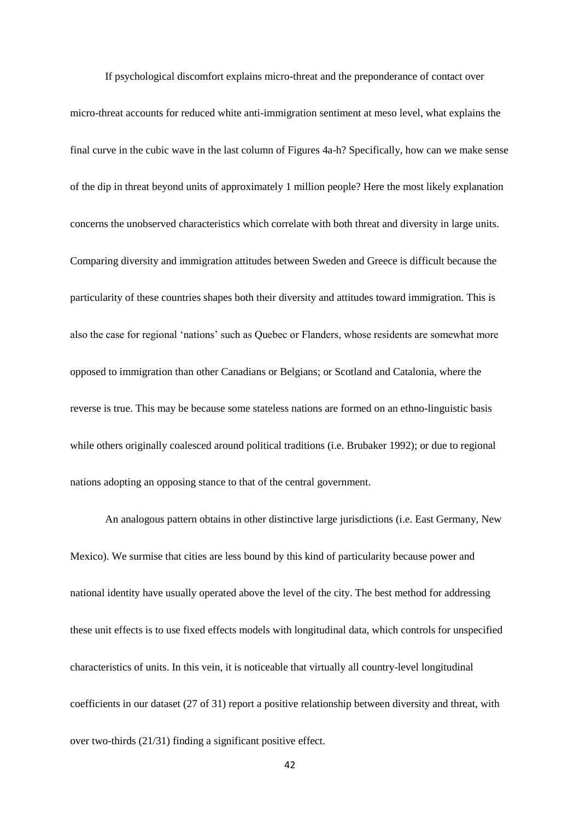If psychological discomfort explains micro-threat and the preponderance of contact over micro-threat accounts for reduced white anti-immigration sentiment at meso level, what explains the final curve in the cubic wave in the last column of Figures 4a-h? Specifically, how can we make sense of the dip in threat beyond units of approximately 1 million people? Here the most likely explanation concerns the unobserved characteristics which correlate with both threat and diversity in large units. Comparing diversity and immigration attitudes between Sweden and Greece is difficult because the particularity of these countries shapes both their diversity and attitudes toward immigration. This is also the case for regional 'nations' such as Quebec or Flanders, whose residents are somewhat more opposed to immigration than other Canadians or Belgians; or Scotland and Catalonia, where the reverse is true. This may be because some stateless nations are formed on an ethno-linguistic basis while others originally coalesced around political traditions (i.e. Brubaker 1992); or due to regional nations adopting an opposing stance to that of the central government.

An analogous pattern obtains in other distinctive large jurisdictions (i.e. East Germany, New Mexico). We surmise that cities are less bound by this kind of particularity because power and national identity have usually operated above the level of the city. The best method for addressing these unit effects is to use fixed effects models with longitudinal data, which controls for unspecified characteristics of units. In this vein, it is noticeable that virtually all country-level longitudinal coefficients in our dataset (27 of 31) report a positive relationship between diversity and threat, with over two-thirds (21/31) finding a significant positive effect.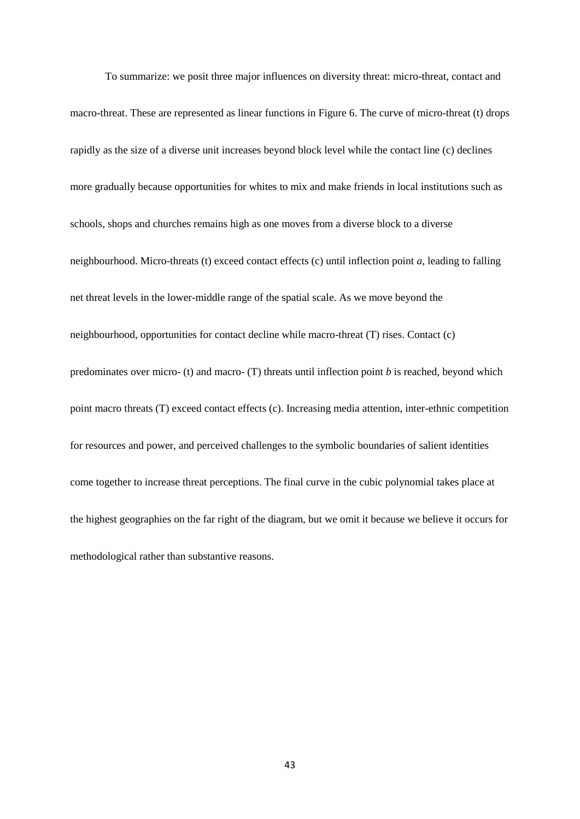To summarize: we posit three major influences on diversity threat: micro-threat, contact and macro-threat. These are represented as linear functions in Figure 6. The curve of micro-threat (t) drops rapidly as the size of a diverse unit increases beyond block level while the contact line (c) declines more gradually because opportunities for whites to mix and make friends in local institutions such as schools, shops and churches remains high as one moves from a diverse block to a diverse neighbourhood. Micro-threats (t) exceed contact effects (c) until inflection point *a*, leading to falling net threat levels in the lower-middle range of the spatial scale. As we move beyond the neighbourhood, opportunities for contact decline while macro-threat (T) rises. Contact (c) predominates over micro- (t) and macro- (T) threats until inflection point *b* is reached, beyond which point macro threats (T) exceed contact effects (c). Increasing media attention, inter-ethnic competition for resources and power, and perceived challenges to the symbolic boundaries of salient identities come together to increase threat perceptions. The final curve in the cubic polynomial takes place at the highest geographies on the far right of the diagram, but we omit it because we believe it occurs for methodological rather than substantive reasons.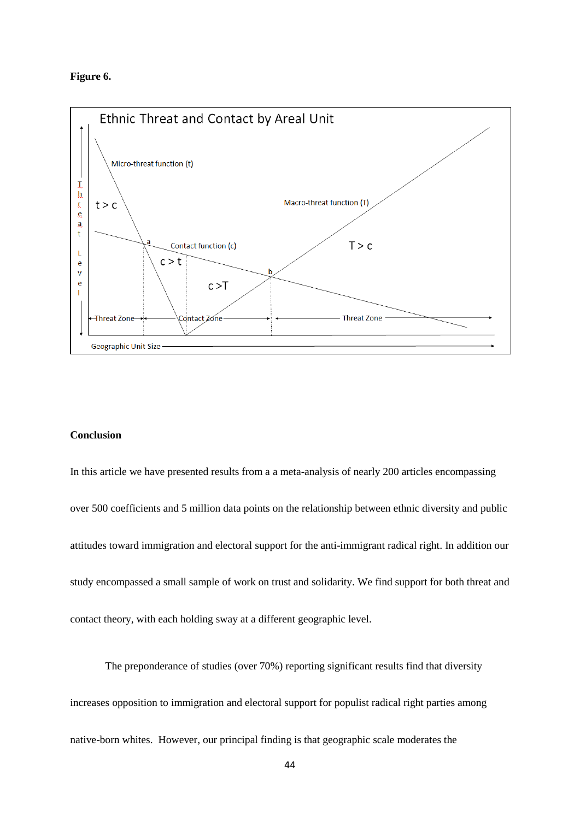### **Figure 6.**



### **Conclusion**

In this article we have presented results from a a meta-analysis of nearly 200 articles encompassing over 500 coefficients and 5 million data points on the relationship between ethnic diversity and public attitudes toward immigration and electoral support for the anti-immigrant radical right. In addition our study encompassed a small sample of work on trust and solidarity. We find support for both threat and contact theory, with each holding sway at a different geographic level.

The preponderance of studies (over 70%) reporting significant results find that diversity increases opposition to immigration and electoral support for populist radical right parties among native-born whites. However, our principal finding is that geographic scale moderates the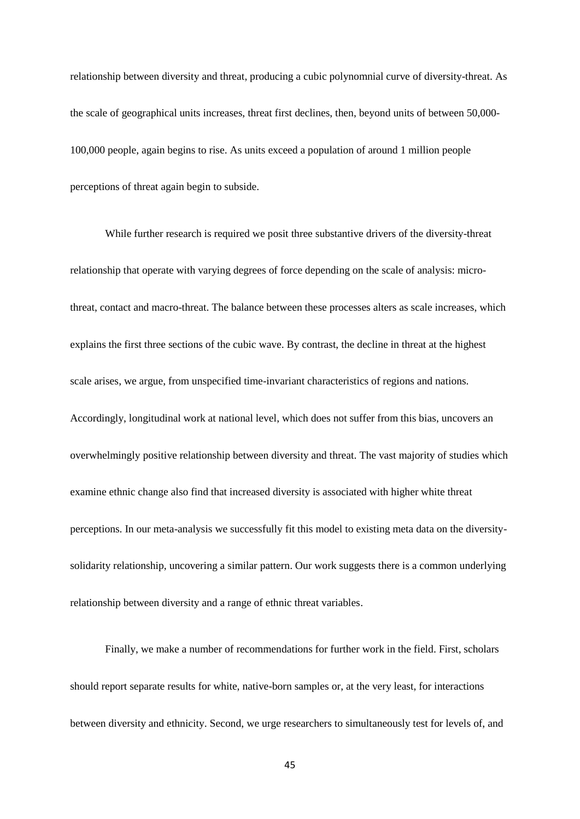relationship between diversity and threat, producing a cubic polynomnial curve of diversity-threat. As the scale of geographical units increases, threat first declines, then, beyond units of between 50,000- 100,000 people, again begins to rise. As units exceed a population of around 1 million people perceptions of threat again begin to subside.

While further research is required we posit three substantive drivers of the diversity-threat relationship that operate with varying degrees of force depending on the scale of analysis: microthreat, contact and macro-threat. The balance between these processes alters as scale increases, which explains the first three sections of the cubic wave. By contrast, the decline in threat at the highest scale arises, we argue, from unspecified time-invariant characteristics of regions and nations. Accordingly, longitudinal work at national level, which does not suffer from this bias, uncovers an overwhelmingly positive relationship between diversity and threat. The vast majority of studies which examine ethnic change also find that increased diversity is associated with higher white threat perceptions. In our meta-analysis we successfully fit this model to existing meta data on the diversitysolidarity relationship, uncovering a similar pattern. Our work suggests there is a common underlying relationship between diversity and a range of ethnic threat variables.

Finally, we make a number of recommendations for further work in the field. First, scholars should report separate results for white, native-born samples or, at the very least, for interactions between diversity and ethnicity. Second, we urge researchers to simultaneously test for levels of, and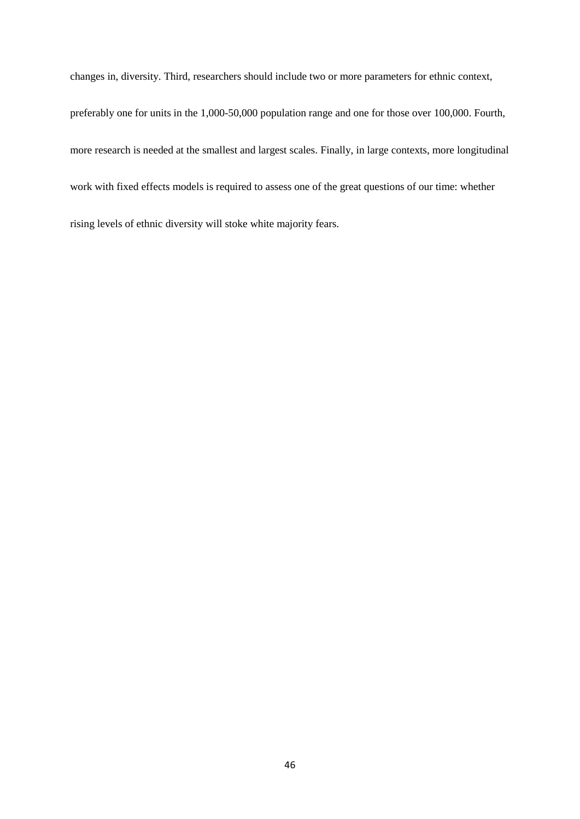changes in, diversity. Third, researchers should include two or more parameters for ethnic context, preferably one for units in the 1,000-50,000 population range and one for those over 100,000. Fourth, more research is needed at the smallest and largest scales. Finally, in large contexts, more longitudinal work with fixed effects models is required to assess one of the great questions of our time: whether rising levels of ethnic diversity will stoke white majority fears.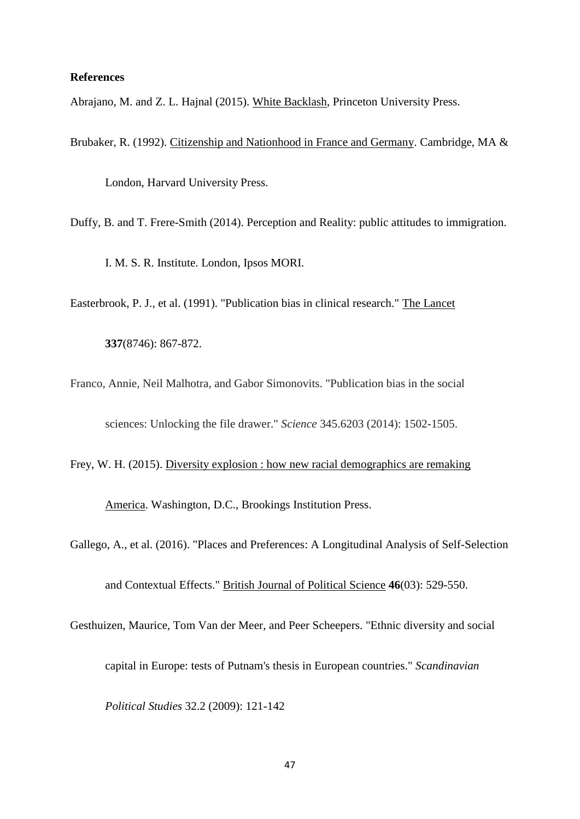### **References**

Abrajano, M. and Z. L. Hajnal (2015). White Backlash, Princeton University Press.

Brubaker, R. (1992). Citizenship and Nationhood in France and Germany. Cambridge, MA &

London, Harvard University Press.

Duffy, B. and T. Frere-Smith (2014). Perception and Reality: public attitudes to immigration.

I. M. S. R. Institute. London, Ipsos MORI.

Easterbrook, P. J., et al. (1991). "Publication bias in clinical research." The Lancet

**337**(8746): 867-872.

Franco, Annie, Neil Malhotra, and Gabor Simonovits. "Publication bias in the social sciences: Unlocking the file drawer." *Science* 345.6203 (2014): 1502-1505.

Frey, W. H. (2015). Diversity explosion : how new racial demographics are remaking

America. Washington, D.C., Brookings Institution Press.

Gallego, A., et al. (2016). "Places and Preferences: A Longitudinal Analysis of Self-Selection

and Contextual Effects." British Journal of Political Science **46**(03): 529-550.

Gesthuizen, Maurice, Tom Van der Meer, and Peer Scheepers. "Ethnic diversity and social capital in Europe: tests of Putnam's thesis in European countries." *Scandinavian* 

*Political Studies* 32.2 (2009): 121-142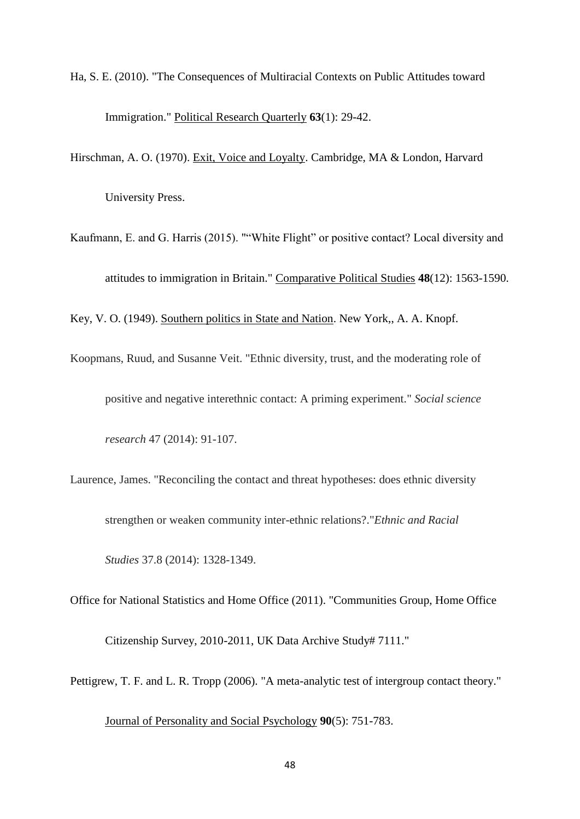- Ha, S. E. (2010). "The Consequences of Multiracial Contexts on Public Attitudes toward Immigration." Political Research Quarterly **63**(1): 29-42.
- Hirschman, A. O. (1970). Exit, Voice and Loyalty. Cambridge, MA & London, Harvard University Press.
- Kaufmann, E. and G. Harris (2015). ""White Flight" or positive contact? Local diversity and attitudes to immigration in Britain." Comparative Political Studies **48**(12): 1563-1590. Key, V. O. (1949). Southern politics in State and Nation. New York,, A. A. Knopf.
- Koopmans, Ruud, and Susanne Veit. "Ethnic diversity, trust, and the moderating role of positive and negative interethnic contact: A priming experiment." *Social science research* 47 (2014): 91-107.
- Laurence, James. "Reconciling the contact and threat hypotheses: does ethnic diversity strengthen or weaken community inter-ethnic relations?."*Ethnic and Racial*

*Studies* 37.8 (2014): 1328-1349.

Office for National Statistics and Home Office (2011). "Communities Group, Home Office

Citizenship Survey, 2010-2011, UK Data Archive Study# 7111."

Pettigrew, T. F. and L. R. Tropp (2006). "A meta-analytic test of intergroup contact theory."

Journal of Personality and Social Psychology **90**(5): 751-783.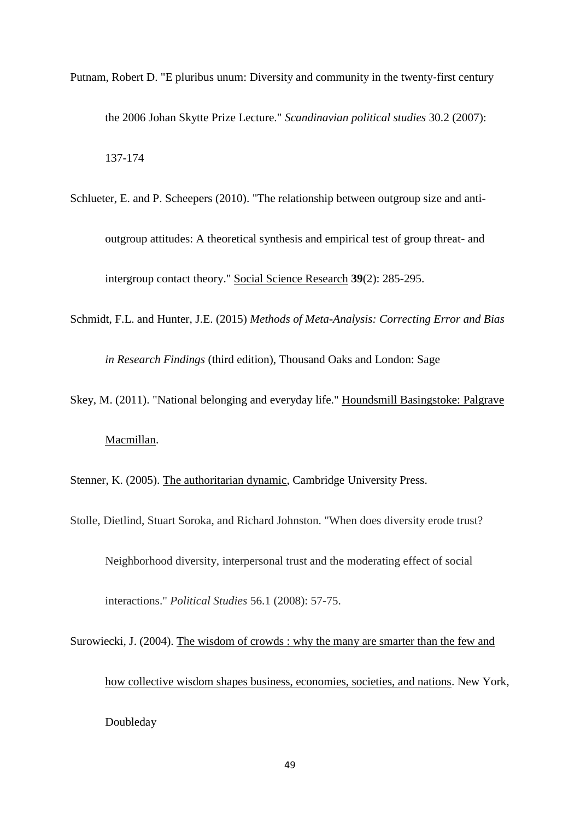- Putnam, Robert D. "E pluribus unum: Diversity and community in the twenty‐first century the 2006 Johan Skytte Prize Lecture." *Scandinavian political studies* 30.2 (2007): 137-174
- Schlueter, E. and P. Scheepers (2010). "The relationship between outgroup size and antioutgroup attitudes: A theoretical synthesis and empirical test of group threat- and intergroup contact theory." Social Science Research **39**(2): 285-295.
- Schmidt, F.L. and Hunter, J.E. (2015) *Methods of Meta-Analysis: Correcting Error and Bias*

*in Research Findings* (third edition), Thousand Oaks and London: Sage

Skey, M. (2011). "National belonging and everyday life." Houndsmill Basingstoke: Palgrave

# Macmillan.

Stenner, K. (2005). The authoritarian dynamic, Cambridge University Press.

Stolle, Dietlind, Stuart Soroka, and Richard Johnston. "When does diversity erode trust?

Neighborhood diversity, interpersonal trust and the moderating effect of social

interactions." *Political Studies* 56.1 (2008): 57-75.

Surowiecki, J. (2004). The wisdom of crowds : why the many are smarter than the few and how collective wisdom shapes business, economies, societies, and nations. New York, Doubleday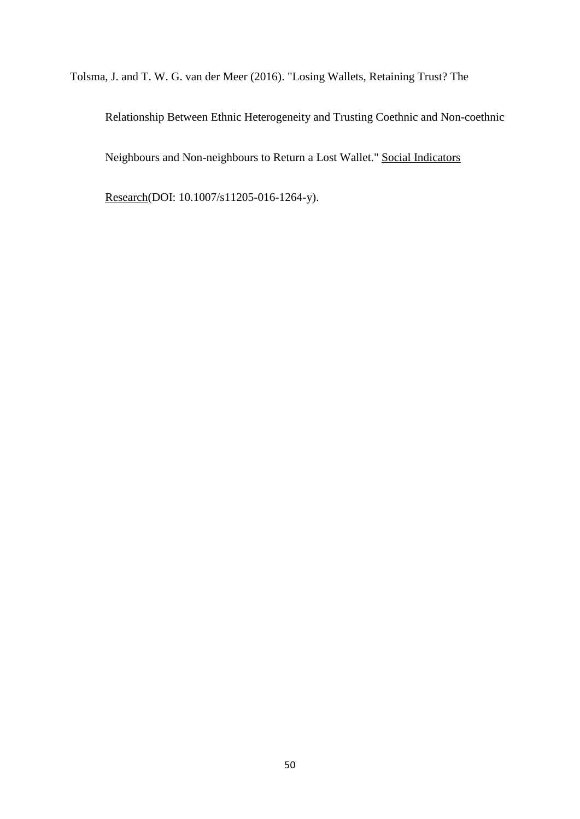Tolsma, J. and T. W. G. van der Meer (2016). "Losing Wallets, Retaining Trust? The

Relationship Between Ethnic Heterogeneity and Trusting Coethnic and Non-coethnic Neighbours and Non-neighbours to Return a Lost Wallet." Social Indicators

Research(DOI: 10.1007/s11205-016-1264-y).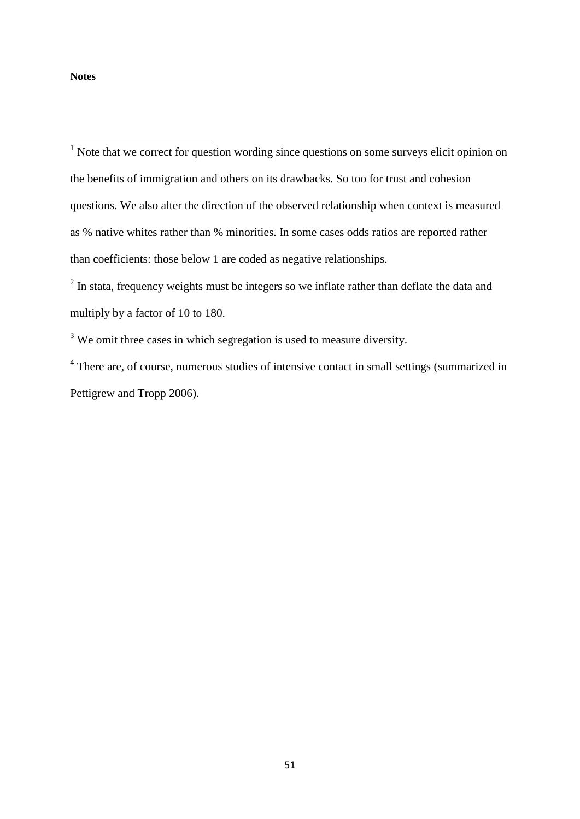### **Notes**

**.** 

 $1$  Note that we correct for question wording since questions on some surveys elicit opinion on the benefits of immigration and others on its drawbacks. So too for trust and cohesion questions. We also alter the direction of the observed relationship when context is measured as % native whites rather than % minorities. In some cases odds ratios are reported rather than coefficients: those below 1 are coded as negative relationships.

 $2$  In stata, frequency weights must be integers so we inflate rather than deflate the data and multiply by a factor of 10 to 180.

<sup>3</sup> We omit three cases in which segregation is used to measure diversity.

<sup>4</sup> There are, of course, numerous studies of intensive contact in small settings (summarized in Pettigrew and Tropp 2006).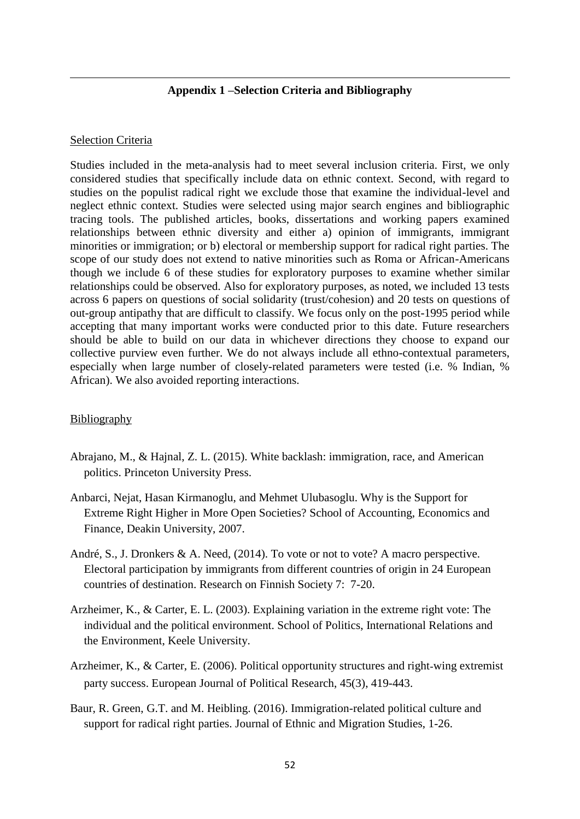# **Appendix 1 –Selection Criteria and Bibliography**

# Selection Criteria

1

Studies included in the meta-analysis had to meet several inclusion criteria. First, we only considered studies that specifically include data on ethnic context. Second, with regard to studies on the populist radical right we exclude those that examine the individual-level and neglect ethnic context. Studies were selected using major search engines and bibliographic tracing tools. The published articles, books, dissertations and working papers examined relationships between ethnic diversity and either a) opinion of immigrants, immigrant minorities or immigration; or b) electoral or membership support for radical right parties. The scope of our study does not extend to native minorities such as Roma or African-Americans though we include 6 of these studies for exploratory purposes to examine whether similar relationships could be observed. Also for exploratory purposes, as noted, we included 13 tests across 6 papers on questions of social solidarity (trust/cohesion) and 20 tests on questions of out-group antipathy that are difficult to classify. We focus only on the post-1995 period while accepting that many important works were conducted prior to this date. Future researchers should be able to build on our data in whichever directions they choose to expand our collective purview even further. We do not always include all ethno-contextual parameters, especially when large number of closely-related parameters were tested (i.e. % Indian, % African). We also avoided reporting interactions.

# **Bibliography**

- Abrajano, M., & Hajnal, Z. L. (2015). White backlash: immigration, race, and American politics. Princeton University Press.
- Anbarci, Nejat, Hasan Kirmanoglu, and Mehmet Ulubasoglu. Why is the Support for Extreme Right Higher in More Open Societies? School of Accounting, Economics and Finance, Deakin University, 2007.
- André, S., J. Dronkers & A. Need, (2014). To vote or not to vote? A macro perspective. Electoral participation by immigrants from different countries of origin in 24 European countries of destination. Research on Finnish Society 7: 7-20.
- Arzheimer, K., & Carter, E. L. (2003). Explaining variation in the extreme right vote: The individual and the political environment. School of Politics, International Relations and the Environment, Keele University.
- Arzheimer, K., & Carter, E. (2006). Political opportunity structures and right-wing extremist party success. European Journal of Political Research, 45(3), 419-443.
- Baur, R. Green, G.T. and M. Heibling. (2016). Immigration-related political culture and support for radical right parties. Journal of Ethnic and Migration Studies, 1-26.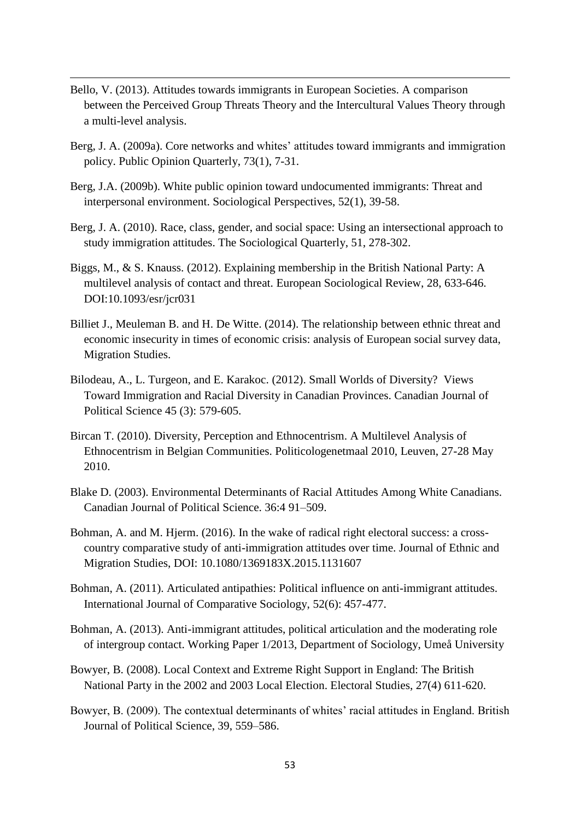Bello, V. (2013). Attitudes towards immigrants in European Societies. A comparison between the Perceived Group Threats Theory and the Intercultural Values Theory through a multi-level analysis.

- Berg, J. A. (2009a). Core networks and whites' attitudes toward immigrants and immigration policy. Public Opinion Quarterly, 73(1), 7-31.
- Berg, J.A. (2009b). White public opinion toward undocumented immigrants: Threat and interpersonal environment. Sociological Perspectives, 52(1), 39-58.
- Berg, J. A. (2010). Race, class, gender, and social space: Using an intersectional approach to study immigration attitudes. The Sociological Quarterly, 51, 278-302.
- Biggs, M., & S. Knauss. (2012). Explaining membership in the British National Party: A multilevel analysis of contact and threat. European Sociological Review, 28, 633-646. DOI:10.1093/esr/jcr031
- Billiet J., Meuleman B. and H. De Witte. (2014). The relationship between ethnic threat and economic insecurity in times of economic crisis: analysis of European social survey data, Migration Studies.
- Bilodeau, A., L. Turgeon, and E. Karakoc. (2012). Small Worlds of Diversity? Views Toward Immigration and Racial Diversity in Canadian Provinces. Canadian Journal of Political Science 45 (3): 579-605.
- Bircan T. (2010). Diversity, Perception and Ethnocentrism. A Multilevel Analysis of Ethnocentrism in Belgian Communities. Politicologenetmaal 2010, Leuven, 27-28 May 2010.
- Blake D. (2003). Environmental Determinants of Racial Attitudes Among White Canadians. Canadian Journal of Political Science. 36:4 91–509.
- Bohman, A. and M. Hjerm. (2016). In the wake of radical right electoral success: a crosscountry comparative study of anti-immigration attitudes over time. Journal of Ethnic and Migration Studies, DOI: 10.1080/1369183X.2015.1131607
- Bohman, A. (2011). Articulated antipathies: Political influence on anti-immigrant attitudes. International Journal of Comparative Sociology, 52(6): 457-477.
- Bohman, A. (2013). Anti-immigrant attitudes, political articulation and the moderating role of intergroup contact. Working Paper 1/2013, Department of Sociology, Umeå University
- Bowyer, B. (2008). Local Context and Extreme Right Support in England: The British National Party in the 2002 and 2003 Local Election. Electoral Studies, 27(4) 611-620.
- Bowyer, B. (2009). The contextual determinants of whites' racial attitudes in England. British Journal of Political Science, 39, 559–586.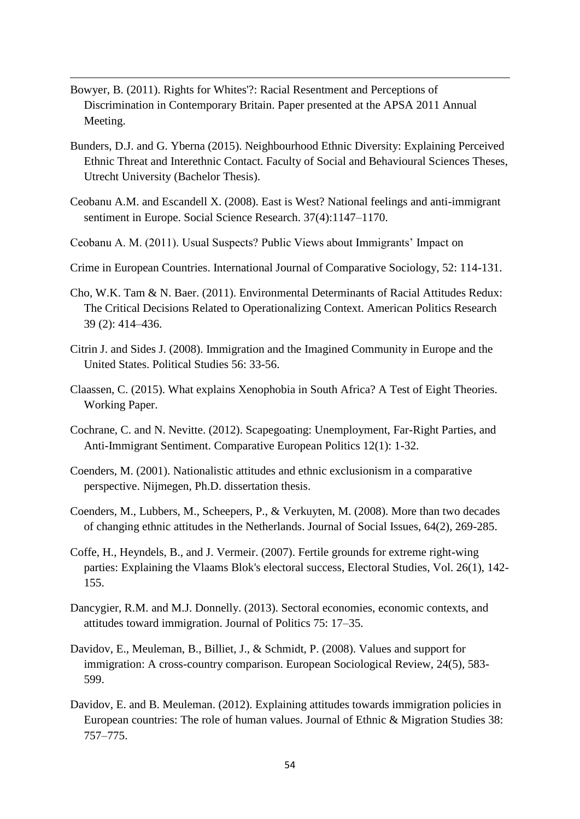Bowyer, B. (2011). Rights for Whites'?: Racial Resentment and Perceptions of Discrimination in Contemporary Britain. Paper presented at the APSA 2011 Annual Meeting.

- Bunders, D.J. and G. Yberna (2015). Neighbourhood Ethnic Diversity: Explaining Perceived Ethnic Threat and Interethnic Contact. Faculty of Social and Behavioural Sciences Theses, Utrecht University (Bachelor Thesis).
- Ceobanu A.M. and Escandell X. (2008). East is West? National feelings and anti-immigrant sentiment in Europe. Social Science Research. 37(4):1147–1170.
- Ceobanu A. M. (2011). Usual Suspects? Public Views about Immigrants' Impact on
- Crime in European Countries. International Journal of Comparative Sociology, 52: 114-131.
- Cho, W.K. Tam & N. Baer. (2011). Environmental Determinants of Racial Attitudes Redux: The Critical Decisions Related to Operationalizing Context. American Politics Research 39 (2): 414–436.
- Citrin J. and Sides J. (2008). Immigration and the Imagined Community in Europe and the United States. Political Studies 56: 33-56.
- Claassen, C. (2015). What explains Xenophobia in South Africa? A Test of Eight Theories. Working Paper.
- Cochrane, C. and N. Nevitte. (2012). Scapegoating: Unemployment, Far-Right Parties, and Anti-Immigrant Sentiment. Comparative European Politics 12(1): 1-32.
- Coenders, M. (2001). Nationalistic attitudes and ethnic exclusionism in a comparative perspective. Nijmegen, Ph.D. dissertation thesis.
- Coenders, M., Lubbers, M., Scheepers, P., & Verkuyten, M. (2008). More than two decades of changing ethnic attitudes in the Netherlands. Journal of Social Issues, 64(2), 269-285.
- Coffe, H., Heyndels, B., and J. Vermeir. (2007). Fertile grounds for extreme right-wing parties: Explaining the Vlaams Blok's electoral success, Electoral Studies, Vol. 26(1), 142- 155.
- Dancygier, R.M. and M.J. Donnelly. (2013). Sectoral economies, economic contexts, and attitudes toward immigration. Journal of Politics 75: 17–35.
- Davidov, E., Meuleman, B., Billiet, J., & Schmidt, P. (2008). Values and support for immigration: A cross-country comparison. European Sociological Review, 24(5), 583- 599.
- Davidov, E. and B. Meuleman. (2012). Explaining attitudes towards immigration policies in European countries: The role of human values. Journal of Ethnic & Migration Studies 38: 757–775.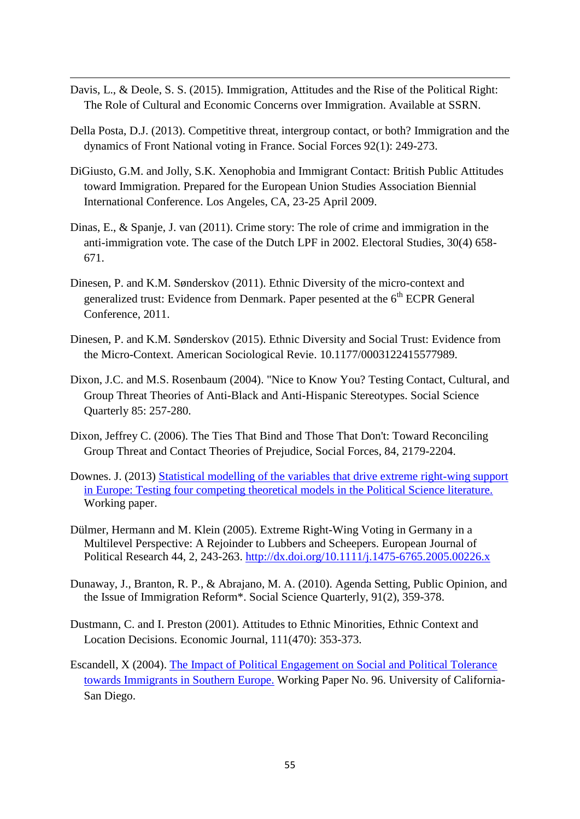Davis, L., & Deole, S. S. (2015). Immigration, Attitudes and the Rise of the Political Right: The Role of Cultural and Economic Concerns over Immigration. Available at SSRN.

- Della Posta, D.J. (2013). Competitive threat, intergroup contact, or both? Immigration and the dynamics of Front National voting in France. Social Forces 92(1): 249-273.
- DiGiusto, G.M. and Jolly, S.K. Xenophobia and Immigrant Contact: British Public Attitudes toward Immigration. Prepared for the European Union Studies Association Biennial International Conference. Los Angeles, CA, 23-25 April 2009.
- Dinas, E., & Spanje, J. van (2011). Crime story: The role of crime and immigration in the anti-immigration vote. The case of the Dutch LPF in 2002. Electoral Studies, 30(4) 658- 671.
- Dinesen, P. and K.M. Sønderskov (2011). Ethnic Diversity of the micro-context and generalized trust: Evidence from Denmark. Paper pesented at the  $6<sup>th</sup> ECPR$  General Conference, 2011.
- Dinesen, P. and K.M. Sønderskov (2015). Ethnic Diversity and Social Trust: Evidence from the Micro-Context. American Sociological Revie. 10.1177/0003122415577989.
- Dixon, J.C. and M.S. Rosenbaum (2004). "Nice to Know You? Testing Contact, Cultural, and Group Threat Theories of Anti-Black and Anti-Hispanic Stereotypes. Social Science Quarterly 85: 257-280.
- Dixon, Jeffrey C. (2006). The Ties That Bind and Those That Don't: Toward Reconciling Group Threat and Contact Theories of Prejudice, Social Forces, 84, 2179-2204.
- Downes. J. (2013) [Statistical modelling of the variables that drive extreme right-wing support](https://www.academia.edu/5672375/Statistical_modelling_of_the_variables_that_drive_extreme_right-wing_support_in_Europe_Testing_four_competing_theoretical_models_in_the_Political_Science_literature)  [in Europe: Testing four competing theoretical models in the Political Science literature.](https://www.academia.edu/5672375/Statistical_modelling_of_the_variables_that_drive_extreme_right-wing_support_in_Europe_Testing_four_competing_theoretical_models_in_the_Political_Science_literature) Working paper.
- Dülmer, Hermann and M. Klein (2005). Extreme Right-Wing Voting in Germany in a Multilevel Perspective: A Rejoinder to Lubbers and Scheepers. European Journal of Political Research 44, 2, 243-263.<http://dx.doi.org/10.1111/j.1475-6765.2005.00226.x>
- Dunaway, J., Branton, R. P., & Abrajano, M. A. (2010). Agenda Setting, Public Opinion, and the Issue of Immigration Reform\*. Social Science Quarterly, 91(2), 359-378.
- Dustmann, C. and I. Preston (2001). Attitudes to Ethnic Minorities, Ethnic Context and Location Decisions. Economic Journal, 111(470): 353-373.
- Escandell, X (2004). [The Impact of Political Engagement on Social and Political Tolerance](http://citeseerx.ist.psu.edu/viewdoc/download?doi=10.1.1.197.1231&rep=rep1&type=pdf)  [towards Immigrants in Southern Europe.](http://citeseerx.ist.psu.edu/viewdoc/download?doi=10.1.1.197.1231&rep=rep1&type=pdf) Working Paper No. 96. University of California-San Diego.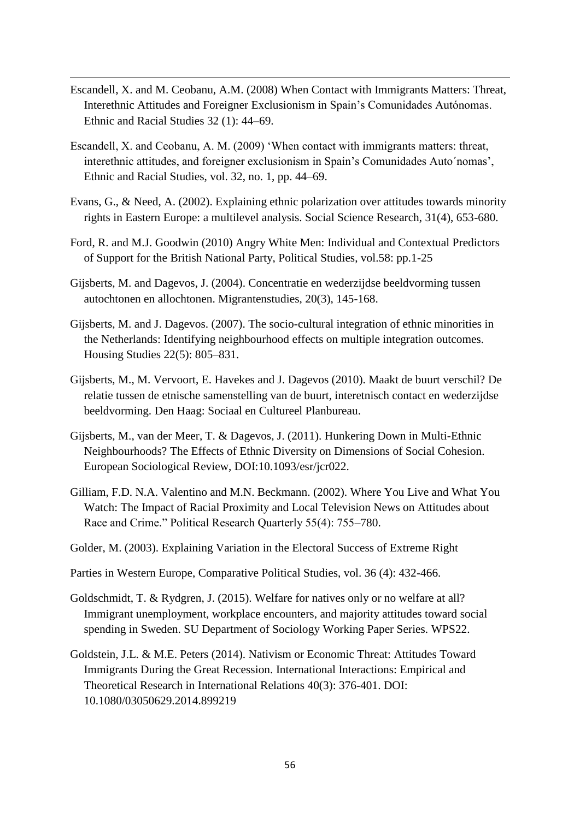Escandell, X. and M. Ceobanu, A.M. (2008) When Contact with Immigrants Matters: Threat, Interethnic Attitudes and Foreigner Exclusionism in Spain's Comunidades Autónomas. Ethnic and Racial Studies 32 (1): 44–69.

- Escandell, X. and Ceobanu, A. M. (2009) 'When contact with immigrants matters: threat, interethnic attitudes, and foreigner exclusionism in Spain's Comunidades Auto´nomas', Ethnic and Racial Studies, vol. 32, no. 1, pp. 44–69.
- Evans, G., & Need, A. (2002). Explaining ethnic polarization over attitudes towards minority rights in Eastern Europe: a multilevel analysis. Social Science Research, 31(4), 653-680.
- Ford, R. and M.J. Goodwin (2010) Angry White Men: Individual and Contextual Predictors of Support for the British National Party, Political Studies, vol.58: pp.1-25
- Gijsberts, M. and Dagevos, J. (2004). Concentratie en wederzijdse beeldvorming tussen autochtonen en allochtonen. Migrantenstudies, 20(3), 145-168.
- Gijsberts, M. and J. Dagevos. (2007). The socio-cultural integration of ethnic minorities in the Netherlands: Identifying neighbourhood effects on multiple integration outcomes. Housing Studies 22(5): 805–831.
- Gijsberts, M., M. Vervoort, E. Havekes and J. Dagevos (2010). Maakt de buurt verschil? De relatie tussen de etnische samenstelling van de buurt, interetnisch contact en wederzijdse beeldvorming. Den Haag: Sociaal en Cultureel Planbureau.
- Gijsberts, M., van der Meer, T. & Dagevos, J. (2011). Hunkering Down in Multi-Ethnic Neighbourhoods? The Effects of Ethnic Diversity on Dimensions of Social Cohesion. European Sociological Review, DOI:10.1093/esr/jcr022.
- Gilliam, F.D. N.A. Valentino and M.N. Beckmann. (2002). Where You Live and What You Watch: The Impact of Racial Proximity and Local Television News on Attitudes about Race and Crime." Political Research Quarterly 55(4): 755–780.
- Golder, M. (2003). Explaining Variation in the Electoral Success of Extreme Right
- Parties in Western Europe, Comparative Political Studies, vol. 36 (4): 432-466.
- Goldschmidt, T. & Rydgren, J. (2015). Welfare for natives only or no welfare at all? Immigrant unemployment, workplace encounters, and majority attitudes toward social spending in Sweden. SU Department of Sociology Working Paper Series. WPS22.
- Goldstein, J.L. & M.E. Peters (2014). Nativism or Economic Threat: Attitudes Toward Immigrants During the Great Recession. International Interactions: Empirical and Theoretical Research in International Relations 40(3): 376-401. DOI: 10.1080/03050629.2014.899219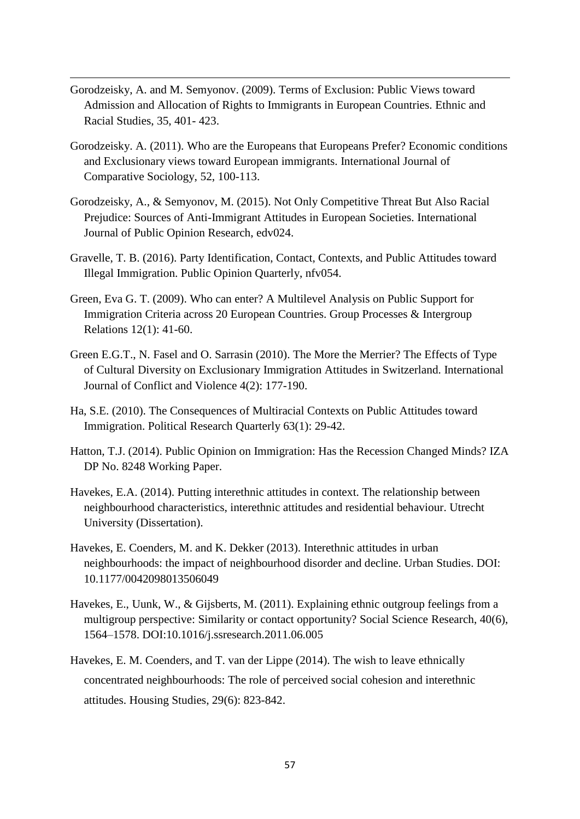Gorodzeisky, A. and M. Semyonov. (2009). Terms of Exclusion: Public Views toward Admission and Allocation of Rights to Immigrants in European Countries. Ethnic and Racial Studies, 35, 401- 423.

- Gorodzeisky. A. (2011). Who are the Europeans that Europeans Prefer? Economic conditions and Exclusionary views toward European immigrants. International Journal of Comparative Sociology, 52, 100-113.
- Gorodzeisky, A., & Semyonov, M. (2015). Not Only Competitive Threat But Also Racial Prejudice: Sources of Anti-Immigrant Attitudes in European Societies. International Journal of Public Opinion Research, edv024.
- Gravelle, T. B. (2016). Party Identification, Contact, Contexts, and Public Attitudes toward Illegal Immigration. Public Opinion Quarterly, nfv054.
- Green, Eva G. T. (2009). Who can enter? A Multilevel Analysis on Public Support for Immigration Criteria across 20 European Countries. Group Processes & Intergroup Relations 12(1): 41-60.
- Green E.G.T., N. Fasel and O. Sarrasin (2010). The More the Merrier? The Effects of Type of Cultural Diversity on Exclusionary Immigration Attitudes in Switzerland. International Journal of Conflict and Violence 4(2): 177-190.
- Ha, S.E. (2010). The Consequences of Multiracial Contexts on Public Attitudes toward Immigration. Political Research Quarterly 63(1): 29-42.
- Hatton, T.J. (2014). Public Opinion on Immigration: Has the Recession Changed Minds? IZA DP No. 8248 Working Paper.
- Havekes, E.A. (2014). Putting interethnic attitudes in context. The relationship between neighbourhood characteristics, interethnic attitudes and residential behaviour. Utrecht University (Dissertation).
- Havekes, E. Coenders, M. and K. Dekker (2013). Interethnic attitudes in urban neighbourhoods: the impact of neighbourhood disorder and decline. Urban Studies. DOI: 10.1177/0042098013506049
- Havekes, E., Uunk, W., & Gijsberts, M. (2011). Explaining ethnic outgroup feelings from a multigroup perspective: Similarity or contact opportunity? Social Science Research, 40(6), 1564–1578. DOI:10.1016/j.ssresearch.2011.06.005
- Havekes, E. M. Coenders, and T. van der Lippe (2014). The wish to leave ethnically concentrated neighbourhoods: The role of perceived social cohesion and interethnic attitudes. Housing Studies, 29(6): 823-842.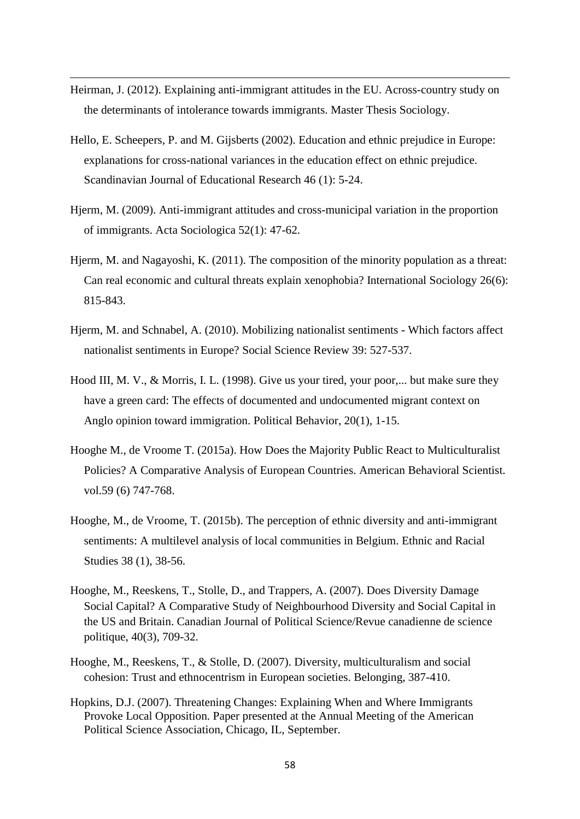Heirman, J. (2012). Explaining anti-immigrant attitudes in the EU. Across-country study on the determinants of intolerance towards immigrants. Master Thesis Sociology.

- Hello, E. Scheepers, P. and M. Gijsberts (2002). Education and ethnic prejudice in Europe: explanations for cross-national variances in the education effect on ethnic prejudice. Scandinavian Journal of Educational Research 46 (1): 5-24.
- Hjerm, M. (2009). Anti-immigrant attitudes and cross-municipal variation in the proportion of immigrants. Acta Sociologica 52(1): 47-62.
- Hjerm, M. and Nagayoshi, K. (2011). The composition of the minority population as a threat: Can real economic and cultural threats explain xenophobia? International Sociology 26(6): 815-843.
- Hjerm, M. and Schnabel, A. (2010). Mobilizing nationalist sentiments Which factors affect nationalist sentiments in Europe? Social Science Review 39: 527-537.
- Hood III, M. V., & Morris, I. L. (1998). Give us your tired, your poor,... but make sure they have a green card: The effects of documented and undocumented migrant context on Anglo opinion toward immigration. Political Behavior, 20(1), 1-15.
- Hooghe M., de Vroome T. (2015a). How Does the Majority Public React to Multiculturalist Policies? A Comparative Analysis of European Countries. American Behavioral Scientist. vol.59 (6) 747-768.
- Hooghe, M., de Vroome, T. (2015b). The perception of ethnic diversity and anti-immigrant sentiments: A multilevel analysis of local communities in Belgium. Ethnic and Racial Studies 38 (1), 38-56.
- Hooghe, M., Reeskens, T., Stolle, D., and Trappers, A. (2007). Does Diversity Damage Social Capital? A Comparative Study of Neighbourhood Diversity and Social Capital in the US and Britain. Canadian Journal of Political Science/Revue canadienne de science politique, 40(3), 709-32.
- Hooghe, M., Reeskens, T., & Stolle, D. (2007). Diversity, multiculturalism and social cohesion: Trust and ethnocentrism in European societies. Belonging, 387-410.
- Hopkins, D.J. (2007). Threatening Changes: Explaining When and Where Immigrants Provoke Local Opposition. Paper presented at the Annual Meeting of the American Political Science Association, Chicago, IL, September.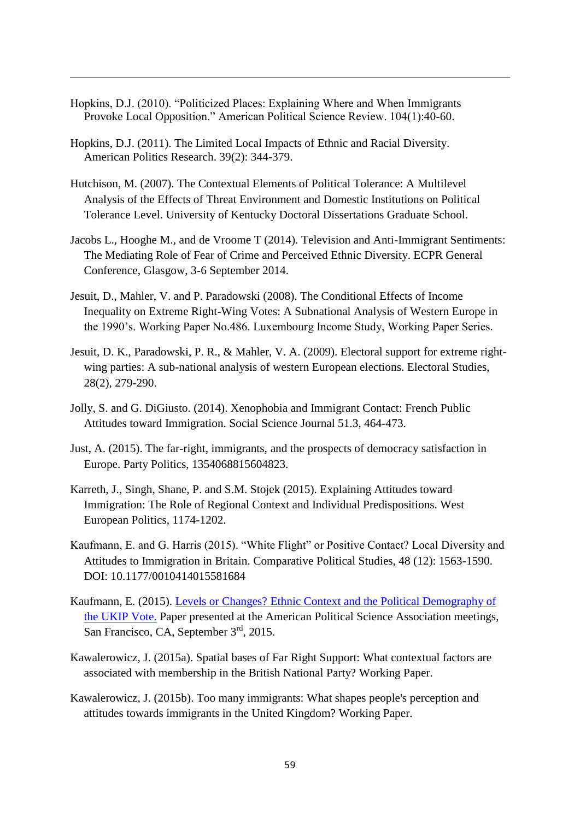Hopkins, D.J. (2010). "Politicized Places: Explaining Where and When Immigrants Provoke Local Opposition." American Political Science Review. 104(1):40-60.

- Hopkins, D.J. (2011). The Limited Local Impacts of Ethnic and Racial Diversity. American Politics Research. 39(2): 344-379.
- Hutchison, M. (2007). The Contextual Elements of Political Tolerance: A Multilevel Analysis of the Effects of Threat Environment and Domestic Institutions on Political Tolerance Level. University of Kentucky Doctoral Dissertations Graduate School.
- Jacobs L., Hooghe M., and de Vroome T (2014). Television and Anti-Immigrant Sentiments: The Mediating Role of Fear of Crime and Perceived Ethnic Diversity. ECPR General Conference, Glasgow, 3-6 September 2014.
- Jesuit, D., Mahler, V. and P. Paradowski (2008). The Conditional Effects of Income Inequality on Extreme Right-Wing Votes: A Subnational Analysis of Western Europe in the 1990's. Working Paper No.486. Luxembourg Income Study, Working Paper Series.
- Jesuit, D. K., Paradowski, P. R., & Mahler, V. A. (2009). Electoral support for extreme rightwing parties: A sub-national analysis of western European elections. Electoral Studies, 28(2), 279-290.
- Jolly, S. and G. DiGiusto. (2014). Xenophobia and Immigrant Contact: French Public Attitudes toward Immigration. Social Science Journal 51.3, 464-473.
- Just, A. (2015). The far-right, immigrants, and the prospects of democracy satisfaction in Europe. Party Politics, 1354068815604823.
- Karreth, J., Singh, Shane, P. and S.M. Stojek (2015). Explaining Attitudes toward Immigration: The Role of Regional Context and Individual Predispositions. West European Politics, 1174-1202.
- Kaufmann, E. and G. Harris (2015). "White Flight" or Positive Contact? Local Diversity and Attitudes to Immigration in Britain. Comparative Political Studies, 48 (12): 1563-1590. DOI: 10.1177/0010414015581684
- Kaufmann, E. (2015). [Levels or Changes? Ethnic Context and the Political Demography of](http://www.sneps.net/wp-content/uploads/2015/11/1-Levels-and-Changes_EK_fmt.pdf)  [the UKIP Vote.](http://www.sneps.net/wp-content/uploads/2015/11/1-Levels-and-Changes_EK_fmt.pdf) Paper presented at the American Political Science Association meetings, San Francisco, CA, September 3<sup>rd</sup>, 2015.
- Kawalerowicz, J. (2015a). Spatial bases of Far Right Support: What contextual factors are associated with membership in the British National Party? Working Paper.
- Kawalerowicz, J. (2015b). Too many immigrants: What shapes people's perception and attitudes towards immigrants in the United Kingdom? Working Paper.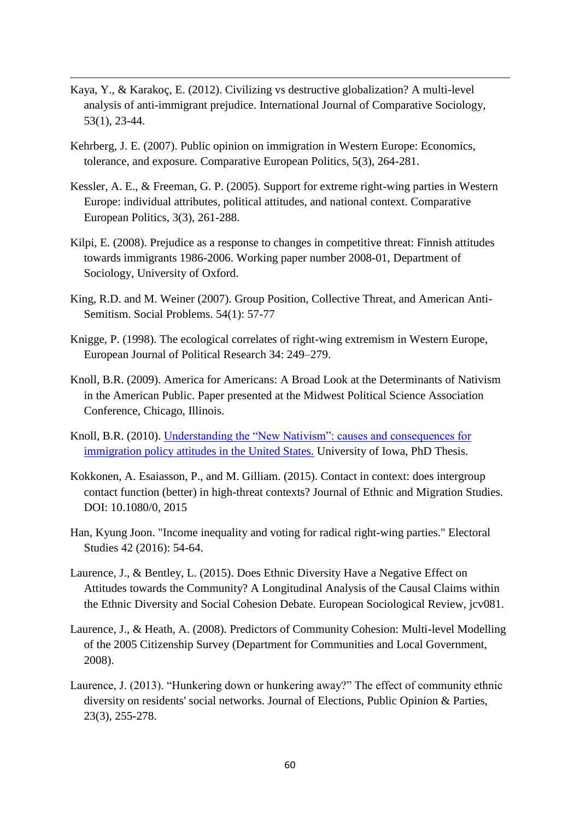Kaya, Y., & Karakoç, E. (2012). Civilizing vs destructive globalization? A multi-level analysis of anti-immigrant prejudice. International Journal of Comparative Sociology, 53(1), 23-44.

- Kehrberg, J. E. (2007). Public opinion on immigration in Western Europe: Economics, tolerance, and exposure. Comparative European Politics, 5(3), 264-281.
- Kessler, A. E., & Freeman, G. P. (2005). Support for extreme right-wing parties in Western Europe: individual attributes, political attitudes, and national context. Comparative European Politics, 3(3), 261-288.
- Kilpi, E. (2008). Prejudice as a response to changes in competitive threat: Finnish attitudes towards immigrants 1986-2006. Working paper number 2008-01, Department of Sociology, University of Oxford.
- King, R.D. and M. Weiner (2007). Group Position, Collective Threat, and American Anti-Semitism. Social Problems. 54(1): 57-77
- Knigge, P. (1998). The ecological correlates of right-wing extremism in Western Europe, European Journal of Political Research 34: 249–279.
- Knoll, B.R. (2009). America for Americans: A Broad Look at the Determinants of Nativism in the American Public. Paper presented at the Midwest Political Science Association Conference, Chicago, Illinois.
- Knoll, B.R. (2010). [Understanding the "New Nativism": causes and consequences for](http://ir.uiowa.edu/cgi/viewcontent.cgi?article=1717&context=etd)  [immigration policy attitudes in the United States.](http://ir.uiowa.edu/cgi/viewcontent.cgi?article=1717&context=etd) University of Iowa, PhD Thesis.
- Kokkonen, A. Esaiasson, P., and M. Gilliam. (2015). Contact in context: does intergroup contact function (better) in high-threat contexts? Journal of Ethnic and Migration Studies. DOI: 10.1080/0, 2015
- Han, Kyung Joon. "Income inequality and voting for radical right-wing parties." Electoral Studies 42 (2016): 54-64.
- Laurence, J., & Bentley, L. (2015). Does Ethnic Diversity Have a Negative Effect on Attitudes towards the Community? A Longitudinal Analysis of the Causal Claims within the Ethnic Diversity and Social Cohesion Debate. European Sociological Review, jcv081.
- Laurence, J., & Heath, A. (2008). Predictors of Community Cohesion: Multi-level Modelling of the 2005 Citizenship Survey (Department for Communities and Local Government, 2008).
- Laurence, J. (2013). "Hunkering down or hunkering away?" The effect of community ethnic diversity on residents' social networks. Journal of Elections, Public Opinion & Parties, 23(3), 255-278.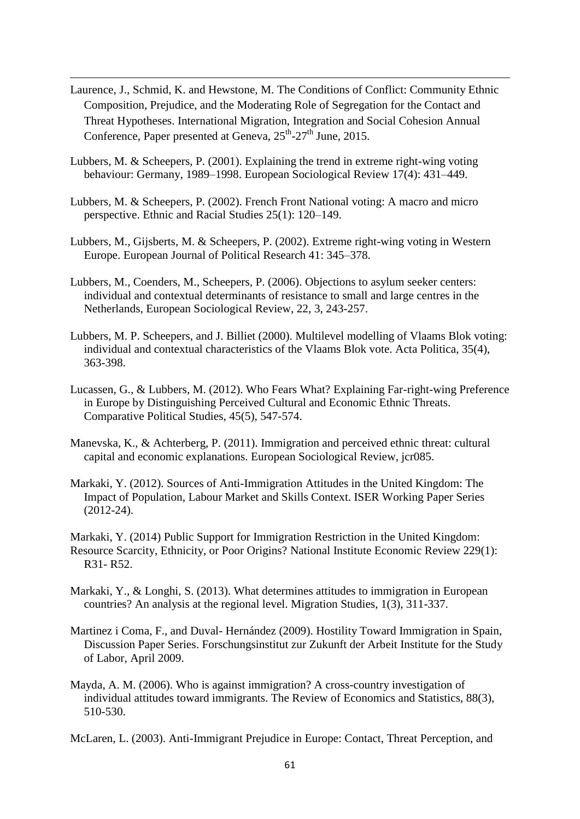Laurence, J., Schmid, K. and Hewstone, M. The Conditions of Conflict: Community Ethnic Composition, Prejudice, and the Moderating Role of Segregation for the Contact and Threat Hypotheses. International Migration, Integration and Social Cohesion Annual Conference, Paper presented at Geneva,  $25<sup>th</sup>$ - $27<sup>th</sup>$  June, 2015.

1

- Lubbers, M. & Scheepers, P. (2001). Explaining the trend in extreme right-wing voting behaviour: Germany, 1989–1998. European Sociological Review 17(4): 431–449.
- Lubbers, M. & Scheepers, P. (2002). French Front National voting: A macro and micro perspective. Ethnic and Racial Studies 25(1): 120–149.
- Lubbers, M., Gijsberts, M. & Scheepers, P. (2002). Extreme right-wing voting in Western Europe. European Journal of Political Research 41: 345–378.
- Lubbers, M., Coenders, M., Scheepers, P. (2006). Objections to asylum seeker centers: individual and contextual determinants of resistance to small and large centres in the Netherlands, European Sociological Review, 22, 3, 243-257.
- Lubbers, M. P. Scheepers, and J. Billiet (2000). Multilevel modelling of Vlaams Blok voting: individual and contextual characteristics of the Vlaams Blok vote. Acta Politica, 35(4), 363-398.
- Lucassen, G., & Lubbers, M. (2012). Who Fears What? Explaining Far-right-wing Preference in Europe by Distinguishing Perceived Cultural and Economic Ethnic Threats. Comparative Political Studies, 45(5), 547-574.
- Manevska, K., & Achterberg, P. (2011). Immigration and perceived ethnic threat: cultural capital and economic explanations. European Sociological Review, jcr085.
- Markaki, Y. (2012). Sources of Anti-Immigration Attitudes in the United Kingdom: The Impact of Population, Labour Market and Skills Context. ISER Working Paper Series (2012-24).
- Markaki, Y. (2014) Public Support for Immigration Restriction in the United Kingdom: Resource Scarcity, Ethnicity, or Poor Origins? National Institute Economic Review 229(1): R31- R52.
- Markaki, Y., & Longhi, S. (2013). What determines attitudes to immigration in European countries? An analysis at the regional level. Migration Studies, 1(3), 311-337.
- Martinez i Coma, F., and Duval- Hernández (2009). Hostility Toward Immigration in Spain, Discussion Paper Series. Forschungsinstitut zur Zukunft der Arbeit Institute for the Study of Labor, April 2009.
- Mayda, A. M. (2006). Who is against immigration? A cross-country investigation of individual attitudes toward immigrants. The Review of Economics and Statistics, 88(3), 510-530.

McLaren, L. (2003). Anti-Immigrant Prejudice in Europe: Contact, Threat Perception, and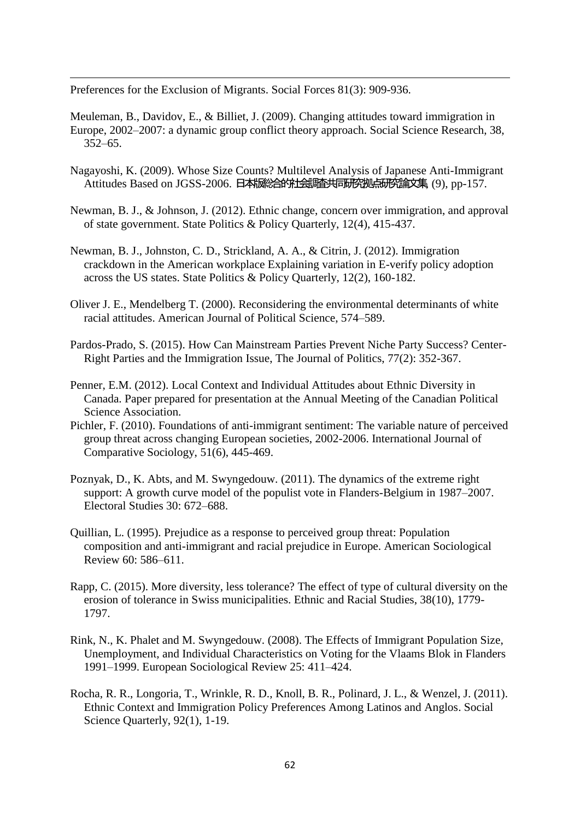Preferences for the Exclusion of Migrants. Social Forces 81(3): 909-936.

1

Meuleman, B., Davidov, E., & Billiet, J. (2009). Changing attitudes toward immigration in Europe, 2002–2007: a dynamic group conflict theory approach. Social Science Research, 38, 352–65.

- Nagayoshi, K. (2009). Whose Size Counts? Multilevel Analysis of Japanese Anti-Immigrant Attitudes Based on JGSS-2006. 日本版総合的社会調査共同研究拠点研究論文集, (9), pp-157.
- Newman, B. J., & Johnson, J. (2012). Ethnic change, concern over immigration, and approval of state government. State Politics & Policy Quarterly, 12(4), 415-437.
- Newman, B. J., Johnston, C. D., Strickland, A. A., & Citrin, J. (2012). Immigration crackdown in the American workplace Explaining variation in E-verify policy adoption across the US states. State Politics & Policy Quarterly, 12(2), 160-182.
- Oliver J. E., Mendelberg T. (2000). Reconsidering the environmental determinants of white racial attitudes. American Journal of Political Science, 574–589.
- Pardos-Prado, S. (2015). How Can Mainstream Parties Prevent Niche Party Success? Center-Right Parties and the Immigration Issue, The Journal of Politics, 77(2): 352-367.
- Penner, E.M. (2012). Local Context and Individual Attitudes about Ethnic Diversity in Canada. Paper prepared for presentation at the Annual Meeting of the Canadian Political Science Association.
- Pichler, F. (2010). Foundations of anti-immigrant sentiment: The variable nature of perceived group threat across changing European societies, 2002-2006. International Journal of Comparative Sociology, 51(6), 445-469.
- Poznyak, D., K. Abts, and M. Swyngedouw. (2011). The dynamics of the extreme right support: A growth curve model of the populist vote in Flanders-Belgium in 1987–2007. Electoral Studies 30: 672–688.
- Quillian, L. (1995). Prejudice as a response to perceived group threat: Population composition and anti-immigrant and racial prejudice in Europe. American Sociological Review 60: 586–611.
- Rapp, C. (2015). More diversity, less tolerance? The effect of type of cultural diversity on the erosion of tolerance in Swiss municipalities. Ethnic and Racial Studies, 38(10), 1779- 1797.
- Rink, N., K. Phalet and M. Swyngedouw. (2008). The Effects of Immigrant Population Size, Unemployment, and Individual Characteristics on Voting for the Vlaams Blok in Flanders 1991–1999. European Sociological Review 25: 411–424.
- Rocha, R. R., Longoria, T., Wrinkle, R. D., Knoll, B. R., Polinard, J. L., & Wenzel, J. (2011). Ethnic Context and Immigration Policy Preferences Among Latinos and Anglos. Social Science Ouarterly, 92(1), 1-19.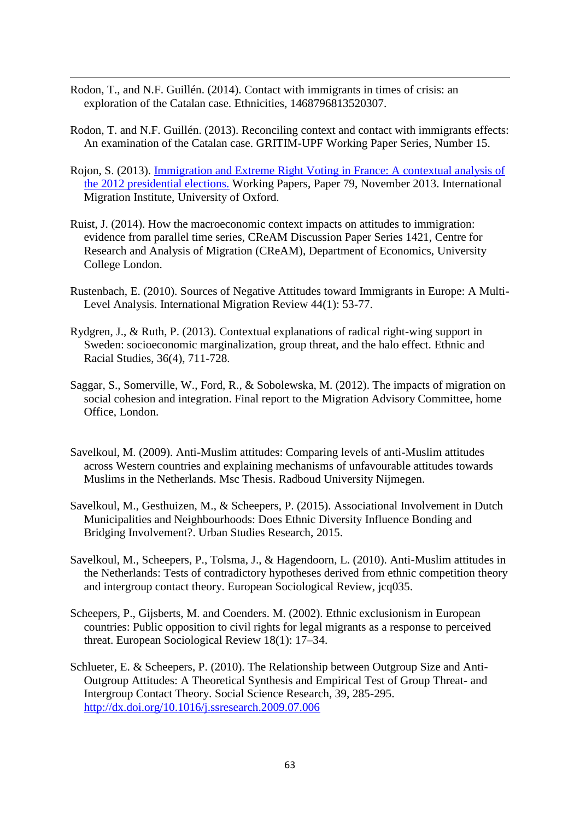Rodon, T., and N.F. Guillén. (2014). Contact with immigrants in times of crisis: an exploration of the Catalan case. Ethnicities, 1468796813520307.

- Rodon, T. and N.F. Guillén. (2013). Reconciling context and contact with immigrants effects: An examination of the Catalan case. GRITIM-UPF Working Paper Series, Number 15.
- Rojon, S. (2013). [Immigration and Extreme Right Voting in France: A contextual analysis of](http://www.imi.ox.ac.uk/pdfs/wp/wp-79-13.pdf)  [the 2012 presidential elections.](http://www.imi.ox.ac.uk/pdfs/wp/wp-79-13.pdf) Working Papers, Paper 79, November 2013. International Migration Institute, University of Oxford.
- Ruist, J. (2014). How the macroeconomic context impacts on attitudes to immigration: evidence from parallel time series, CReAM Discussion Paper Series 1421, Centre for Research and Analysis of Migration (CReAM), Department of Economics, University College London.
- Rustenbach, E. (2010). Sources of Negative Attitudes toward Immigrants in Europe: A Multi-Level Analysis. International Migration Review 44(1): 53-77.
- Rydgren, J., & Ruth, P. (2013). Contextual explanations of radical right-wing support in Sweden: socioeconomic marginalization, group threat, and the halo effect. Ethnic and Racial Studies, 36(4), 711-728.
- Saggar, S., Somerville, W., Ford, R., & Sobolewska, M. (2012). The impacts of migration on social cohesion and integration. Final report to the Migration Advisory Committee, home Office, London.
- Savelkoul, M. (2009). Anti-Muslim attitudes: Comparing levels of anti-Muslim attitudes across Western countries and explaining mechanisms of unfavourable attitudes towards Muslims in the Netherlands. Msc Thesis. Radboud University Nijmegen.
- Savelkoul, M., Gesthuizen, M., & Scheepers, P. (2015). Associational Involvement in Dutch Municipalities and Neighbourhoods: Does Ethnic Diversity Influence Bonding and Bridging Involvement?. Urban Studies Research, 2015.
- Savelkoul, M., Scheepers, P., Tolsma, J., & Hagendoorn, L. (2010). Anti-Muslim attitudes in the Netherlands: Tests of contradictory hypotheses derived from ethnic competition theory and intergroup contact theory. European Sociological Review, jcq035.
- Scheepers, P., Gijsberts, M. and Coenders. M. (2002). Ethnic exclusionism in European countries: Public opposition to civil rights for legal migrants as a response to perceived threat. European Sociological Review 18(1): 17–34.
- Schlueter, E. & Scheepers, P. (2010). The Relationship between Outgroup Size and Anti-Outgroup Attitudes: A Theoretical Synthesis and Empirical Test of Group Threat- and Intergroup Contact Theory. Social Science Research, 39, 285-295. <http://dx.doi.org/10.1016/j.ssresearch.2009.07.006>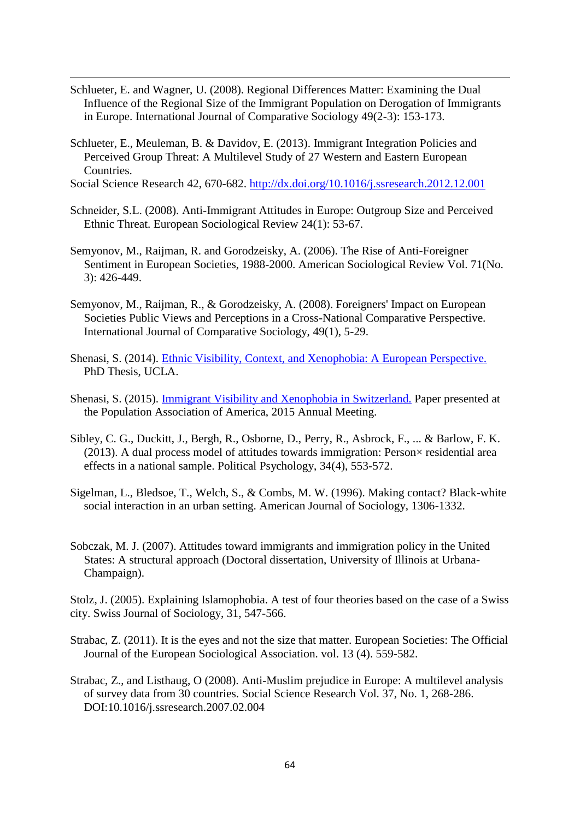- Schlueter, E. and Wagner, U. (2008). Regional Differences Matter: Examining the Dual Influence of the Regional Size of the Immigrant Population on Derogation of Immigrants in Europe. International Journal of Comparative Sociology 49(2-3): 153-173.
- Schlueter, E., Meuleman, B. & Davidov, E. (2013). Immigrant Integration Policies and Perceived Group Threat: A Multilevel Study of 27 Western and Eastern European Countries.

1

Social Science Research 42, 670-682.<http://dx.doi.org/10.1016/j.ssresearch.2012.12.001>

- Schneider, S.L. (2008). Anti-Immigrant Attitudes in Europe: Outgroup Size and Perceived Ethnic Threat. European Sociological Review 24(1): 53-67.
- Semyonov, M., Raijman, R. and Gorodzeisky, A. (2006). The Rise of Anti-Foreigner Sentiment in European Societies, 1988-2000. American Sociological Review Vol. 71(No. 3): 426-449.
- Semyonov, M., Raijman, R., & Gorodzeisky, A. (2008). Foreigners' Impact on European Societies Public Views and Perceptions in a Cross-National Comparative Perspective. International Journal of Comparative Sociology, 49(1), 5-29.
- Shenasi, S. (2014). [Ethnic Visibility, Context, and Xenophobia: A European Perspective.](http://escholarship.org/uc/item/5h2835n1#page-1) PhD Thesis, UCLA.
- Shenasi, S. (2015). [Immigrant Visibility and Xenophobia in Switzerland.](http://paa2015.princeton.edu/uploads/153058) Paper presented at the Population Association of America, 2015 Annual Meeting.
- Sibley, C. G., Duckitt, J., Bergh, R., Osborne, D., Perry, R., Asbrock, F., ... & Barlow, F. K. (2013). A dual process model of attitudes towards immigration: Person $\times$  residential area effects in a national sample. Political Psychology, 34(4), 553-572.
- Sigelman, L., Bledsoe, T., Welch, S., & Combs, M. W. (1996). Making contact? Black-white social interaction in an urban setting. American Journal of Sociology, 1306-1332.
- Sobczak, M. J. (2007). Attitudes toward immigrants and immigration policy in the United States: A structural approach (Doctoral dissertation, University of Illinois at Urbana-Champaign).

Stolz, J. (2005). Explaining Islamophobia. A test of four theories based on the case of a Swiss city. Swiss Journal of Sociology, 31, 547-566.

- Strabac, Z. (2011). It is the eyes and not the size that matter. European Societies: The Official Journal of the European Sociological Association. vol. 13 (4). 559-582.
- Strabac, Z., and Listhaug, O (2008). Anti-Muslim prejudice in Europe: A multilevel analysis of survey data from 30 countries. Social Science Research Vol. 37, No. 1, 268-286. DOI:10.1016/j.ssresearch.2007.02.004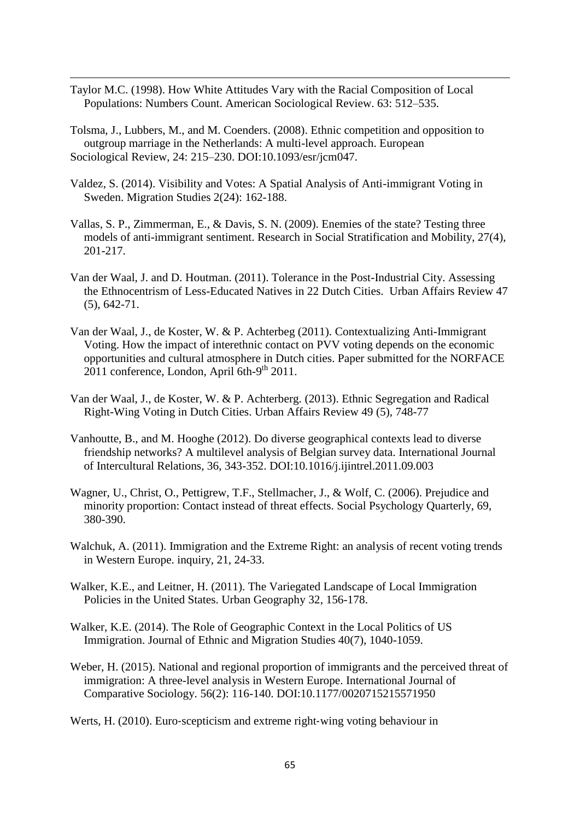Taylor M.C. (1998). How White Attitudes Vary with the Racial Composition of Local Populations: Numbers Count. American Sociological Review. 63: 512–535.

1

Tolsma, J., Lubbers, M., and M. Coenders. (2008). Ethnic competition and opposition to outgroup marriage in the Netherlands: A multi-level approach. European Sociological Review, 24: 215–230. DOI:10.1093/esr/jcm047.

- Valdez, S. (2014). Visibility and Votes: A Spatial Analysis of Anti-immigrant Voting in Sweden. Migration Studies 2(24): 162-188.
- Vallas, S. P., Zimmerman, E., & Davis, S. N. (2009). Enemies of the state? Testing three models of anti-immigrant sentiment. Research in Social Stratification and Mobility, 27(4), 201-217.
- Van der Waal, J. and D. Houtman. (2011). Tolerance in the Post-Industrial City. Assessing the Ethnocentrism of Less-Educated Natives in 22 Dutch Cities. Urban Affairs Review 47 (5), 642-71.
- Van der Waal, J., de Koster, W. & P. Achterbeg (2011). Contextualizing Anti-Immigrant Voting. How the impact of interethnic contact on PVV voting depends on the economic opportunities and cultural atmosphere in Dutch cities. Paper submitted for the NORFACE 2011 conference, London, April 6th-9<sup>th</sup> 2011.
- Van der Waal, J., de Koster, W. & P. Achterberg. (2013). Ethnic Segregation and Radical Right-Wing Voting in Dutch Cities. Urban Affairs Review 49 (5), 748-77
- Vanhoutte, B., and M. Hooghe (2012). Do diverse geographical contexts lead to diverse friendship networks? A multilevel analysis of Belgian survey data. International Journal of Intercultural Relations, 36, 343-352. DOI:10.1016/j.ijintrel.2011.09.003
- Wagner, U., Christ, O., Pettigrew, T.F., Stellmacher, J., & Wolf, C. (2006). Prejudice and minority proportion: Contact instead of threat effects. Social Psychology Quarterly, 69, 380-390.
- Walchuk, A. (2011). Immigration and the Extreme Right: an analysis of recent voting trends in Western Europe. inquiry, 21, 24-33.
- Walker, K.E., and Leitner, H. (2011). The Variegated Landscape of Local Immigration Policies in the United States. Urban Geography 32, 156-178.
- Walker, K.E. (2014). The Role of Geographic Context in the Local Politics of US Immigration. Journal of Ethnic and Migration Studies 40(7), 1040-1059.
- Weber, H. (2015). National and regional proportion of immigrants and the perceived threat of immigration: A three-level analysis in Western Europe. International Journal of Comparative Sociology. 56(2): 116-140. DOI:10.1177/0020715215571950
- Werts, H. (2010). Euro-scepticism and extreme right-wing voting behaviour in